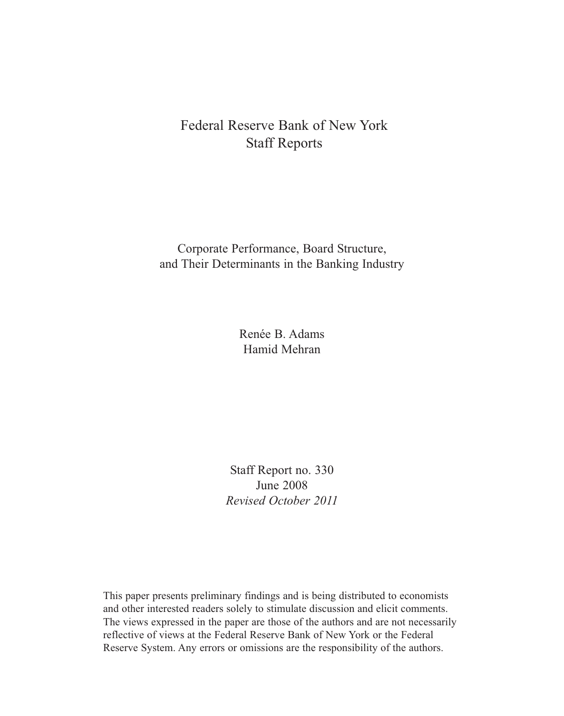# Federal Reserve Bank of New York Staff Reports

Corporate Performance, Board Structure, and Their Determinants in the Banking Industry

> Renée B. Adams Hamid Mehran

Staff Report no. 330 June 2008 *Revised October 2011*

This paper presents preliminary findings and is being distributed to economists and other interested readers solely to stimulate discussion and elicit comments. The views expressed in the paper are those of the authors and are not necessarily reflective of views at the Federal Reserve Bank of New York or the Federal Reserve System. Any errors or omissions are the responsibility of the authors.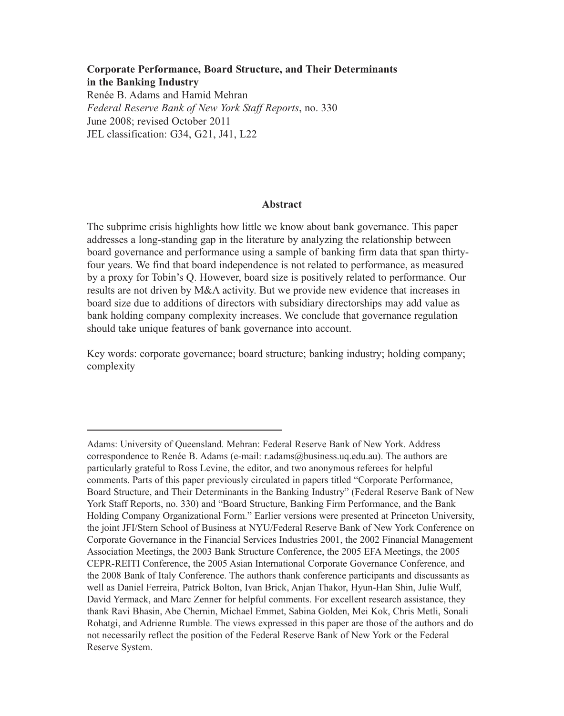### **Corporate Performance, Board Structure, and Their Determinants in the Banking Industry**

Renée B. Adams and Hamid Mehran *Federal Reserve Bank of New York Staff Reports*, no. 330 June 2008; revised October 2011 JEL classification: G34, G21, J41, L22

### **Abstract**

The subprime crisis highlights how little we know about bank governance. This paper addresses a long-standing gap in the literature by analyzing the relationship between board governance and performance using a sample of banking firm data that span thirtyfour years. We find that board independence is not related to performance, as measured by a proxy for Tobin's Q. However, board size is positively related to performance. Our results are not driven by M&A activity. But we provide new evidence that increases in board size due to additions of directors with subsidiary directorships may add value as bank holding company complexity increases. We conclude that governance regulation should take unique features of bank governance into account.

Key words: corporate governance; board structure; banking industry; holding company; complexity

Adams: University of Queensland. Mehran: Federal Reserve Bank of New York. Address correspondence to Renée B. Adams (e-mail: r.adams@business.uq.edu.au). The authors are particularly grateful to Ross Levine, the editor, and two anonymous referees for helpful comments. Parts of this paper previously circulated in papers titled "Corporate Performance, Board Structure, and Their Determinants in the Banking Industry" (Federal Reserve Bank of New York Staff Reports, no. 330) and "Board Structure, Banking Firm Performance, and the Bank Holding Company Organizational Form." Earlier versions were presented at Princeton University, the joint JFI/Stern School of Business at NYU/Federal Reserve Bank of New York Conference on Corporate Governance in the Financial Services Industries 2001, the 2002 Financial Management Association Meetings, the 2003 Bank Structure Conference, the 2005 EFA Meetings, the 2005 CEPR-REITI Conference, the 2005 Asian International Corporate Governance Conference, and the 2008 Bank of Italy Conference. The authors thank conference participants and discussants as well as Daniel Ferreira, Patrick Bolton, Ivan Brick, Anjan Thakor, Hyun-Han Shin, Julie Wulf, David Yermack, and Marc Zenner for helpful comments. For excellent research assistance, they thank Ravi Bhasin, Abe Chernin, Michael Emmet, Sabina Golden, Mei Kok, Chris Metli, Sonali Rohatgi, and Adrienne Rumble. The views expressed in this paper are those of the authors and do not necessarily reflect the position of the Federal Reserve Bank of New York or the Federal Reserve System.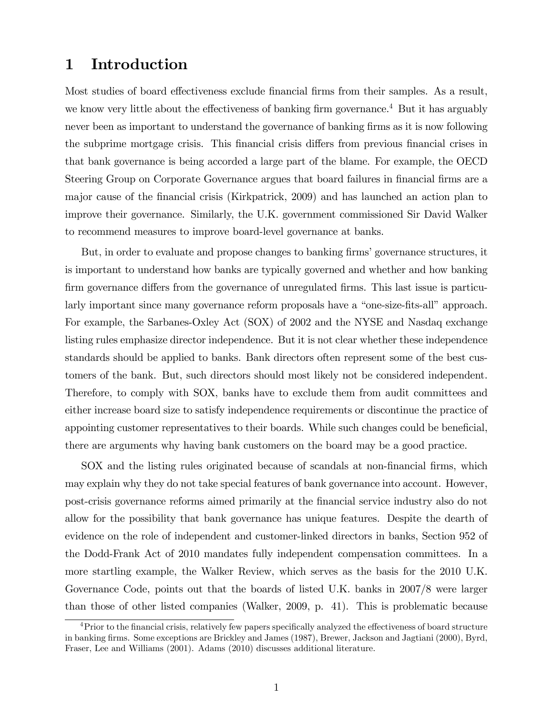## 1 Introduction

Most studies of board effectiveness exclude financial firms from their samples. As a result, we know very little about the effectiveness of banking firm governance.<sup>4</sup> But it has arguably never been as important to understand the governance of banking firms as it is now following the subprime mortgage crisis. This financial crisis differs from previous financial crises in that bank governance is being accorded a large part of the blame. For example, the OECD Steering Group on Corporate Governance argues that board failures in financial firms are a major cause of the Önancial crisis (Kirkpatrick, 2009) and has launched an action plan to improve their governance. Similarly, the U.K. government commissioned Sir David Walker to recommend measures to improve board-level governance at banks.

But, in order to evaluate and propose changes to banking firms' governance structures, it is important to understand how banks are typically governed and whether and how banking firm governance differs from the governance of unregulated firms. This last issue is particularly important since many governance reform proposals have a "one-size-fits-all" approach. For example, the Sarbanes-Oxley Act (SOX) of 2002 and the NYSE and Nasdaq exchange listing rules emphasize director independence. But it is not clear whether these independence standards should be applied to banks. Bank directors often represent some of the best customers of the bank. But, such directors should most likely not be considered independent. Therefore, to comply with SOX, banks have to exclude them from audit committees and either increase board size to satisfy independence requirements or discontinue the practice of appointing customer representatives to their boards. While such changes could be beneficial, there are arguments why having bank customers on the board may be a good practice.

SOX and the listing rules originated because of scandals at non-financial firms, which may explain why they do not take special features of bank governance into account. However, post-crisis governance reforms aimed primarily at the Önancial service industry also do not allow for the possibility that bank governance has unique features. Despite the dearth of evidence on the role of independent and customer-linked directors in banks, Section 952 of the Dodd-Frank Act of 2010 mandates fully independent compensation committees. In a more startling example, the Walker Review, which serves as the basis for the 2010 U.K. Governance Code, points out that the boards of listed U.K. banks in 2007/8 were larger than those of other listed companies (Walker, 2009, p. 41). This is problematic because

<sup>&</sup>lt;sup>4</sup>Prior to the financial crisis, relatively few papers specifically analyzed the effectiveness of board structure in banking Örms. Some exceptions are Brickley and James (1987), Brewer, Jackson and Jagtiani (2000), Byrd, Fraser, Lee and Williams (2001). Adams (2010) discusses additional literature.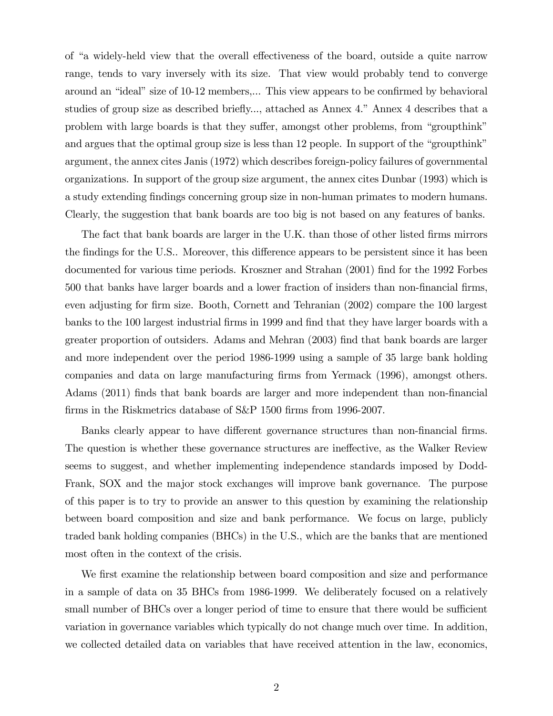of "a widely-held view that the overall effectiveness of the board, outside a quite narrow range, tends to vary inversely with its size. That view would probably tend to converge around an "ideal" size of 10-12 members,... This view appears to be confirmed by behavioral studies of group size as described briefly..., attached as Annex 4. $\degree$  Annex 4 describes that a problem with large boards is that they suffer, amongst other problems, from "groupthink" and argues that the optimal group size is less than 12 people. In support of the "groupthink" argument, the annex cites Janis (1972) which describes foreign-policy failures of governmental organizations. In support of the group size argument, the annex cites Dunbar (1993) which is a study extending findings concerning group size in non-human primates to modern humans. Clearly, the suggestion that bank boards are too big is not based on any features of banks.

The fact that bank boards are larger in the U.K. than those of other listed firms mirrors the findings for the U.S.. Moreover, this difference appears to be persistent since it has been documented for various time periods. Kroszner and Strahan (2001) find for the 1992 Forbes 500 that banks have larger boards and a lower fraction of insiders than non-financial firms, even adjusting for firm size. Booth, Cornett and Tehranian (2002) compare the 100 largest banks to the 100 largest industrial firms in 1999 and find that they have larger boards with a greater proportion of outsiders. Adams and Mehran (2003) Önd that bank boards are larger and more independent over the period 1986-1999 using a sample of 35 large bank holding companies and data on large manufacturing firms from Yermack (1996), amongst others. Adams (2011) finds that bank boards are larger and more independent than non-financial firms in the Riskmetrics database of S&P 1500 firms from 1996-2007.

Banks clearly appear to have different governance structures than non-financial firms. The question is whether these governance structures are ineffective, as the Walker Review seems to suggest, and whether implementing independence standards imposed by Dodd-Frank, SOX and the major stock exchanges will improve bank governance. The purpose of this paper is to try to provide an answer to this question by examining the relationship between board composition and size and bank performance. We focus on large, publicly traded bank holding companies (BHCs) in the U.S., which are the banks that are mentioned most often in the context of the crisis.

We first examine the relationship between board composition and size and performance in a sample of data on 35 BHCs from 1986-1999. We deliberately focused on a relatively small number of BHCs over a longer period of time to ensure that there would be sufficient variation in governance variables which typically do not change much over time. In addition, we collected detailed data on variables that have received attention in the law, economics,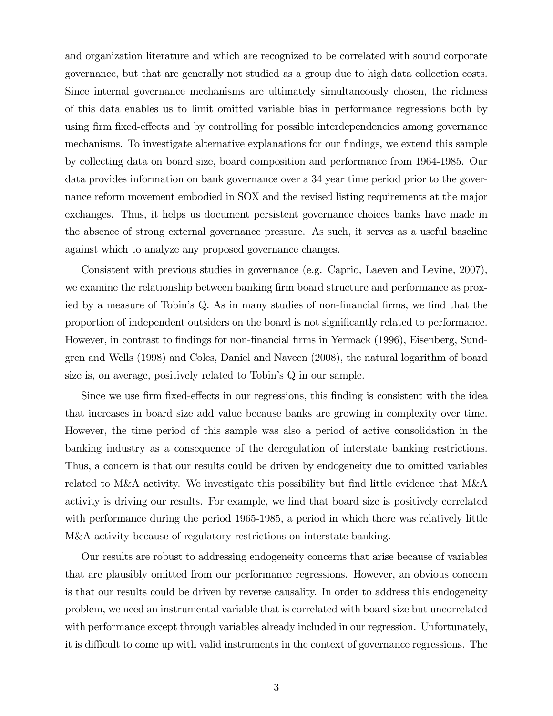and organization literature and which are recognized to be correlated with sound corporate governance, but that are generally not studied as a group due to high data collection costs. Since internal governance mechanisms are ultimately simultaneously chosen, the richness of this data enables us to limit omitted variable bias in performance regressions both by using firm fixed-effects and by controlling for possible interdependencies among governance mechanisms. To investigate alternative explanations for our findings, we extend this sample by collecting data on board size, board composition and performance from 1964-1985. Our data provides information on bank governance over a 34 year time period prior to the governance reform movement embodied in SOX and the revised listing requirements at the major exchanges. Thus, it helps us document persistent governance choices banks have made in the absence of strong external governance pressure. As such, it serves as a useful baseline against which to analyze any proposed governance changes.

Consistent with previous studies in governance (e.g. Caprio, Laeven and Levine, 2007), we examine the relationship between banking firm board structure and performance as proxied by a measure of Tobin's Q. As in many studies of non-financial firms, we find that the proportion of independent outsiders on the board is not significantly related to performance. However, in contrast to findings for non-financial firms in Yermack (1996), Eisenberg, Sundgren and Wells (1998) and Coles, Daniel and Naveen (2008), the natural logarithm of board size is, on average, positively related to Tobin's  $Q$  in our sample.

Since we use firm fixed-effects in our regressions, this finding is consistent with the idea that increases in board size add value because banks are growing in complexity over time. However, the time period of this sample was also a period of active consolidation in the banking industry as a consequence of the deregulation of interstate banking restrictions. Thus, a concern is that our results could be driven by endogeneity due to omitted variables related to  $M\&A$  activity. We investigate this possibility but find little evidence that  $M\&A$ activity is driving our results. For example, we find that board size is positively correlated with performance during the period 1965-1985, a period in which there was relatively little M&A activity because of regulatory restrictions on interstate banking.

Our results are robust to addressing endogeneity concerns that arise because of variables that are plausibly omitted from our performance regressions. However, an obvious concern is that our results could be driven by reverse causality. In order to address this endogeneity problem, we need an instrumental variable that is correlated with board size but uncorrelated with performance except through variables already included in our regression. Unfortunately, it is difficult to come up with valid instruments in the context of governance regressions. The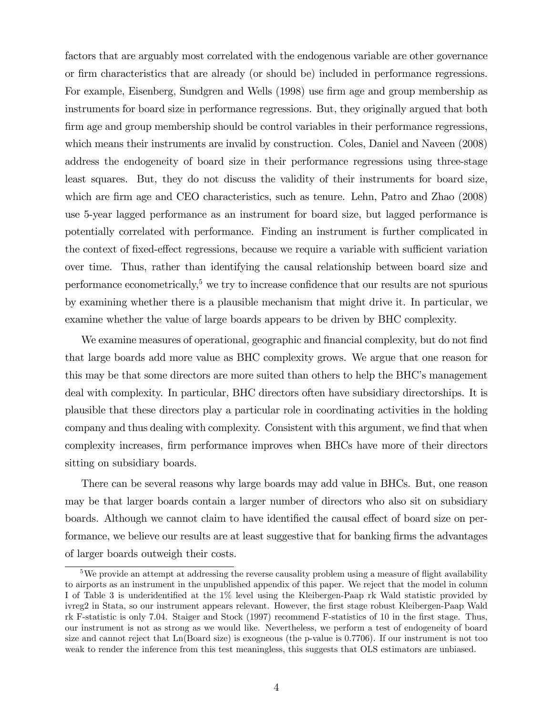factors that are arguably most correlated with the endogenous variable are other governance or firm characteristics that are already (or should be) included in performance regressions. For example, Eisenberg, Sundgren and Wells (1998) use firm age and group membership as instruments for board size in performance regressions. But, they originally argued that both firm age and group membership should be control variables in their performance regressions, which means their instruments are invalid by construction. Coles, Daniel and Naveen (2008) address the endogeneity of board size in their performance regressions using three-stage least squares. But, they do not discuss the validity of their instruments for board size, which are firm age and CEO characteristics, such as tenure. Lehn, Patro and Zhao (2008) use 5-year lagged performance as an instrument for board size, but lagged performance is potentially correlated with performance. Finding an instrument is further complicated in the context of fixed-effect regressions, because we require a variable with sufficient variation over time. Thus, rather than identifying the causal relationship between board size and performance econometrically, $5$  we try to increase confidence that our results are not spurious by examining whether there is a plausible mechanism that might drive it. In particular, we examine whether the value of large boards appears to be driven by BHC complexity.

We examine measures of operational, geographic and financial complexity, but do not find that large boards add more value as BHC complexity grows. We argue that one reason for this may be that some directors are more suited than others to help the BHC's management deal with complexity. In particular, BHC directors often have subsidiary directorships. It is plausible that these directors play a particular role in coordinating activities in the holding company and thus dealing with complexity. Consistent with this argument, we find that when complexity increases, firm performance improves when BHCs have more of their directors sitting on subsidiary boards.

There can be several reasons why large boards may add value in BHCs. But, one reason may be that larger boards contain a larger number of directors who also sit on subsidiary boards. Although we cannot claim to have identified the causal effect of board size on performance, we believe our results are at least suggestive that for banking firms the advantages of larger boards outweigh their costs.

<sup>&</sup>lt;sup>5</sup>We provide an attempt at addressing the reverse causality problem using a measure of flight availability to airports as an instrument in the unpublished appendix of this paper. We reject that the model in column I of Table 3 is underidentified at the  $1\%$  level using the Kleibergen-Paap rk Wald statistic provided by ivreg2 in Stata, so our instrument appears relevant. However, the first stage robust Kleibergen-Paap Wald rk F-statistic is only 7.04. Staiger and Stock (1997) recommend F-statistics of 10 in the first stage. Thus, our instrument is not as strong as we would like. Nevertheless, we perform a test of endogeneity of board size and cannot reject that Ln(Board size) is exogneous (the p-value is 0.7706). If our instrument is not too weak to render the inference from this test meaningless, this suggests that OLS estimators are unbiased.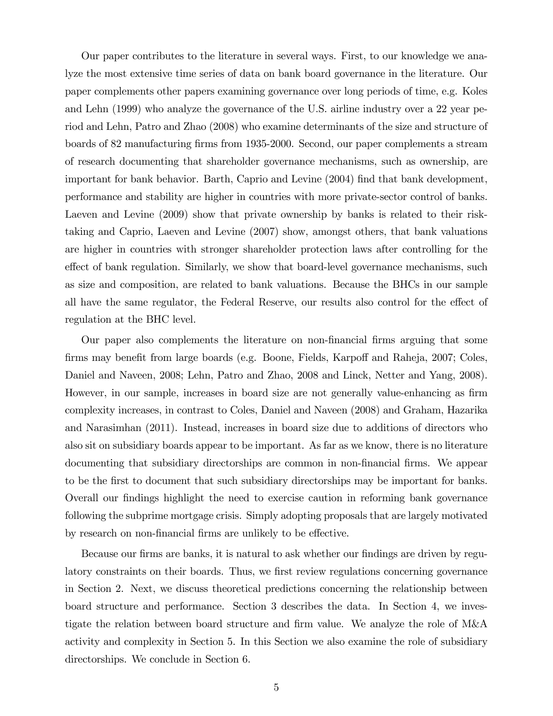Our paper contributes to the literature in several ways. First, to our knowledge we analyze the most extensive time series of data on bank board governance in the literature. Our paper complements other papers examining governance over long periods of time, e.g. Koles and Lehn (1999) who analyze the governance of the U.S. airline industry over a 22 year period and Lehn, Patro and Zhao (2008) who examine determinants of the size and structure of boards of 82 manufacturing firms from 1935-2000. Second, our paper complements a stream of research documenting that shareholder governance mechanisms, such as ownership, are important for bank behavior. Barth, Caprio and Levine (2004) Önd that bank development, performance and stability are higher in countries with more private-sector control of banks. Laeven and Levine (2009) show that private ownership by banks is related to their risktaking and Caprio, Laeven and Levine (2007) show, amongst others, that bank valuations are higher in countries with stronger shareholder protection laws after controlling for the effect of bank regulation. Similarly, we show that board-level governance mechanisms, such as size and composition, are related to bank valuations. Because the BHCs in our sample all have the same regulator, the Federal Reserve, our results also control for the effect of regulation at the BHC level.

Our paper also complements the literature on non-financial firms arguing that some firms may benefit from large boards (e.g. Boone, Fields, Karpoff and Raheja, 2007; Coles, Daniel and Naveen, 2008; Lehn, Patro and Zhao, 2008 and Linck, Netter and Yang, 2008). However, in our sample, increases in board size are not generally value-enhancing as firm complexity increases, in contrast to Coles, Daniel and Naveen (2008) and Graham, Hazarika and Narasimhan (2011). Instead, increases in board size due to additions of directors who also sit on subsidiary boards appear to be important. As far as we know, there is no literature documenting that subsidiary directorships are common in non-Önancial Örms. We appear to be the first to document that such subsidiary directorships may be important for banks. Overall our findings highlight the need to exercise caution in reforming bank governance following the subprime mortgage crisis. Simply adopting proposals that are largely motivated by research on non-financial firms are unlikely to be effective.

Because our firms are banks, it is natural to ask whether our findings are driven by regulatory constraints on their boards. Thus, we first review regulations concerning governance in Section 2. Next, we discuss theoretical predictions concerning the relationship between board structure and performance. Section 3 describes the data. In Section 4, we investigate the relation between board structure and firm value. We analyze the role of M&A activity and complexity in Section 5. In this Section we also examine the role of subsidiary directorships. We conclude in Section 6.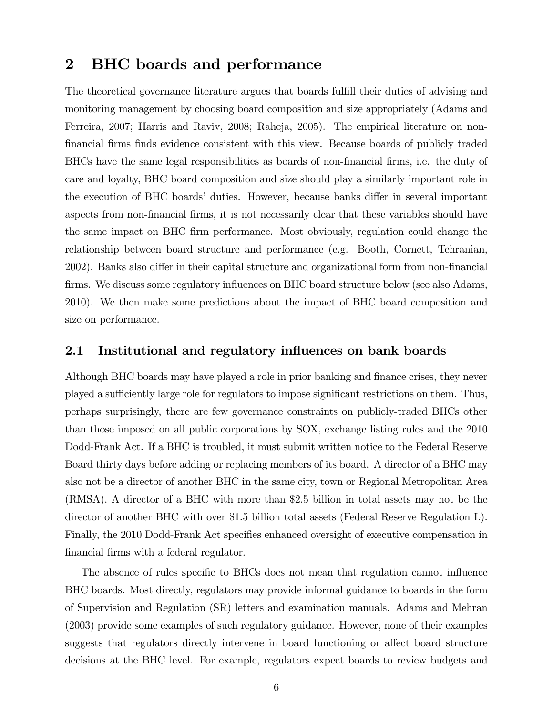# 2 BHC boards and performance

The theoretical governance literature argues that boards fulfill their duties of advising and monitoring management by choosing board composition and size appropriately (Adams and Ferreira, 2007; Harris and Raviv, 2008; Raheja, 2005). The empirical literature on nonfinancial firms finds evidence consistent with this view. Because boards of publicly traded BHCs have the same legal responsibilities as boards of non-financial firms, i.e. the duty of care and loyalty, BHC board composition and size should play a similarly important role in the execution of BHC boards' duties. However, because banks differ in several important aspects from non-Önancial Örms, it is not necessarily clear that these variables should have the same impact on BHC Örm performance. Most obviously, regulation could change the relationship between board structure and performance (e.g. Booth, Cornett, Tehranian, 2002). Banks also differ in their capital structure and organizational form from non-financial firms. We discuss some regulatory influences on BHC board structure below (see also Adams, 2010). We then make some predictions about the impact of BHC board composition and size on performance.

## 2.1 Institutional and regulatory influences on bank boards

Although BHC boards may have played a role in prior banking and finance crises, they never played a sufficiently large role for regulators to impose significant restrictions on them. Thus, perhaps surprisingly, there are few governance constraints on publicly-traded BHCs other than those imposed on all public corporations by SOX, exchange listing rules and the 2010 Dodd-Frank Act. If a BHC is troubled, it must submit written notice to the Federal Reserve Board thirty days before adding or replacing members of its board. A director of a BHC may also not be a director of another BHC in the same city, town or Regional Metropolitan Area (RMSA). A director of a BHC with more than \$2.5 billion in total assets may not be the director of another BHC with over \$1.5 billion total assets (Federal Reserve Regulation L). Finally, the 2010 Dodd-Frank Act specifies enhanced oversight of executive compensation in financial firms with a federal regulator.

The absence of rules specific to BHCs does not mean that regulation cannot influence BHC boards. Most directly, regulators may provide informal guidance to boards in the form of Supervision and Regulation (SR) letters and examination manuals. Adams and Mehran (2003) provide some examples of such regulatory guidance. However, none of their examples suggests that regulators directly intervene in board functioning or affect board structure decisions at the BHC level. For example, regulators expect boards to review budgets and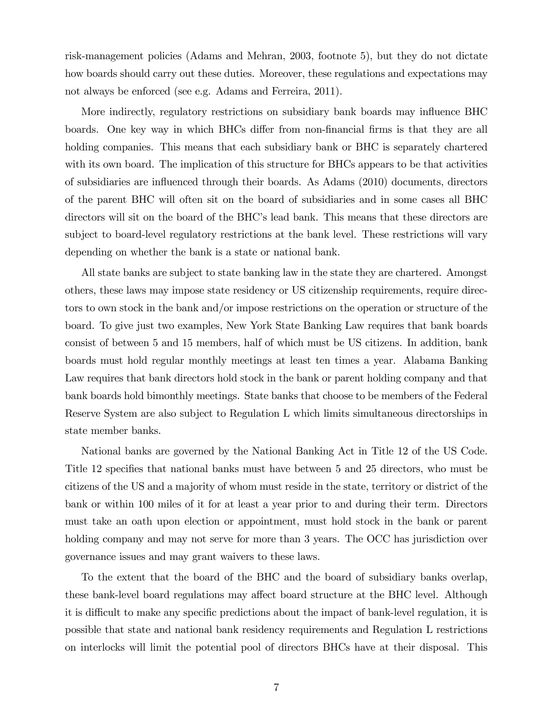risk-management policies (Adams and Mehran, 2003, footnote 5), but they do not dictate how boards should carry out these duties. Moreover, these regulations and expectations may not always be enforced (see e.g. Adams and Ferreira, 2011).

More indirectly, regulatory restrictions on subsidiary bank boards may ináuence BHC boards. One key way in which BHCs differ from non-financial firms is that they are all holding companies. This means that each subsidiary bank or BHC is separately chartered with its own board. The implication of this structure for BHCs appears to be that activities of subsidiaries are influenced through their boards. As Adams (2010) documents, directors of the parent BHC will often sit on the board of subsidiaries and in some cases all BHC directors will sit on the board of the BHC's lead bank. This means that these directors are subject to board-level regulatory restrictions at the bank level. These restrictions will vary depending on whether the bank is a state or national bank.

All state banks are subject to state banking law in the state they are chartered. Amongst others, these laws may impose state residency or US citizenship requirements, require directors to own stock in the bank and/or impose restrictions on the operation or structure of the board. To give just two examples, New York State Banking Law requires that bank boards consist of between 5 and 15 members, half of which must be US citizens. In addition, bank boards must hold regular monthly meetings at least ten times a year. Alabama Banking Law requires that bank directors hold stock in the bank or parent holding company and that bank boards hold bimonthly meetings. State banks that choose to be members of the Federal Reserve System are also subject to Regulation L which limits simultaneous directorships in state member banks.

National banks are governed by the National Banking Act in Title 12 of the US Code. Title 12 specifies that national banks must have between 5 and 25 directors, who must be citizens of the US and a majority of whom must reside in the state, territory or district of the bank or within 100 miles of it for at least a year prior to and during their term. Directors must take an oath upon election or appointment, must hold stock in the bank or parent holding company and may not serve for more than 3 years. The OCC has jurisdiction over governance issues and may grant waivers to these laws.

To the extent that the board of the BHC and the board of subsidiary banks overlap, these bank-level board regulations may affect board structure at the BHC level. Although it is difficult to make any specific predictions about the impact of bank-level regulation, it is possible that state and national bank residency requirements and Regulation L restrictions on interlocks will limit the potential pool of directors BHCs have at their disposal. This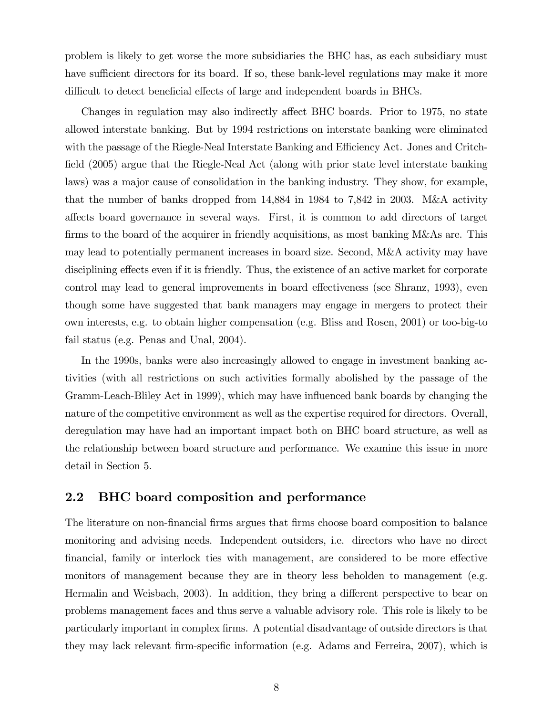problem is likely to get worse the more subsidiaries the BHC has, as each subsidiary must have sufficient directors for its board. If so, these bank-level regulations may make it more difficult to detect beneficial effects of large and independent boards in BHCs.

Changes in regulation may also indirectly affect BHC boards. Prior to 1975, no state allowed interstate banking. But by 1994 restrictions on interstate banking were eliminated with the passage of the Riegle-Neal Interstate Banking and Efficiency Act. Jones and Critchfield (2005) argue that the Riegle-Neal Act (along with prior state level interstate banking laws) was a major cause of consolidation in the banking industry. They show, for example, that the number of banks dropped from 14,884 in 1984 to 7,842 in 2003. M&A activity a§ects board governance in several ways. First, it is common to add directors of target firms to the board of the acquirer in friendly acquisitions, as most banking M&As are. This may lead to potentially permanent increases in board size. Second, M&A activity may have disciplining effects even if it is friendly. Thus, the existence of an active market for corporate control may lead to general improvements in board effectiveness (see Shranz, 1993), even though some have suggested that bank managers may engage in mergers to protect their own interests, e.g. to obtain higher compensation (e.g. Bliss and Rosen, 2001) or too-big-to fail status (e.g. Penas and Unal, 2004).

In the 1990s, banks were also increasingly allowed to engage in investment banking activities (with all restrictions on such activities formally abolished by the passage of the Gramm-Leach-Bliley Act in 1999), which may have influenced bank boards by changing the nature of the competitive environment as well as the expertise required for directors. Overall, deregulation may have had an important impact both on BHC board structure, as well as the relationship between board structure and performance. We examine this issue in more detail in Section 5.

## 2.2 BHC board composition and performance

The literature on non-financial firms argues that firms choose board composition to balance monitoring and advising needs. Independent outsiders, i.e. directors who have no direct financial, family or interlock ties with management, are considered to be more effective monitors of management because they are in theory less beholden to management (e.g. Hermalin and Weisbach, 2003). In addition, they bring a different perspective to bear on problems management faces and thus serve a valuable advisory role. This role is likely to be particularly important in complex Örms. A potential disadvantage of outside directors is that they may lack relevant firm-specific information (e.g. Adams and Ferreira, 2007), which is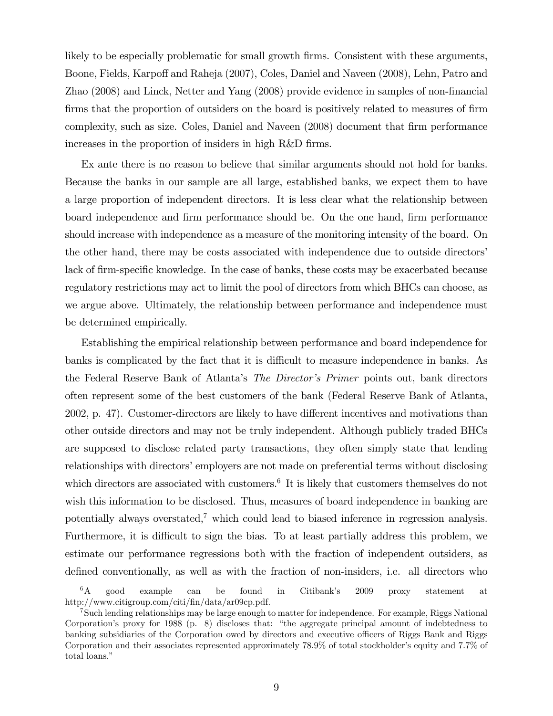likely to be especially problematic for small growth firms. Consistent with these arguments, Boone, Fields, Karpoff and Raheja (2007), Coles, Daniel and Naveen (2008), Lehn, Patro and Zhao (2008) and Linck, Netter and Yang (2008) provide evidence in samples of non-financial firms that the proportion of outsiders on the board is positively related to measures of firm complexity, such as size. Coles, Daniel and Naveen (2008) document that firm performance increases in the proportion of insiders in high R&D firms.

Ex ante there is no reason to believe that similar arguments should not hold for banks. Because the banks in our sample are all large, established banks, we expect them to have a large proportion of independent directors. It is less clear what the relationship between board independence and firm performance should be. On the one hand, firm performance should increase with independence as a measure of the monitoring intensity of the board. On the other hand, there may be costs associated with independence due to outside directors' lack of firm-specific knowledge. In the case of banks, these costs may be exacerbated because regulatory restrictions may act to limit the pool of directors from which BHCs can choose, as we argue above. Ultimately, the relationship between performance and independence must be determined empirically.

Establishing the empirical relationship between performance and board independence for banks is complicated by the fact that it is difficult to measure independence in banks. As the Federal Reserve Bank of Atlanta's *The Director's Primer* points out, bank directors often represent some of the best customers of the bank (Federal Reserve Bank of Atlanta, 2002, p. 47). Customer-directors are likely to have different incentives and motivations than other outside directors and may not be truly independent. Although publicly traded BHCs are supposed to disclose related party transactions, they often simply state that lending relationships with directors' employers are not made on preferential terms without disclosing which directors are associated with customers.<sup>6</sup> It is likely that customers themselves do not wish this information to be disclosed. Thus, measures of board independence in banking are potentially always overstated, $\alpha$ <sup>7</sup> which could lead to biased inference in regression analysis. Furthermore, it is difficult to sign the bias. To at least partially address this problem, we estimate our performance regressions both with the fraction of independent outsiders, as defined conventionally, as well as with the fraction of non-insiders, i.e. all directors who

 ${}^{6}$ A good example can be found in Citibank's 2009 proxy statement at http://www.citigroup.com/citi/Ön/data/ar09cp.pdf.

<sup>7</sup>Such lending relationships may be large enough to matter for independence. For example, Riggs National Corporation's proxy for 1988 (p. 8) discloses that: "the aggregate principal amount of indebtedness to banking subsidiaries of the Corporation owed by directors and executive officers of Riggs Bank and Riggs Corporation and their associates represented approximately 78.9% of total stockholder's equity and 7.7% of total loans."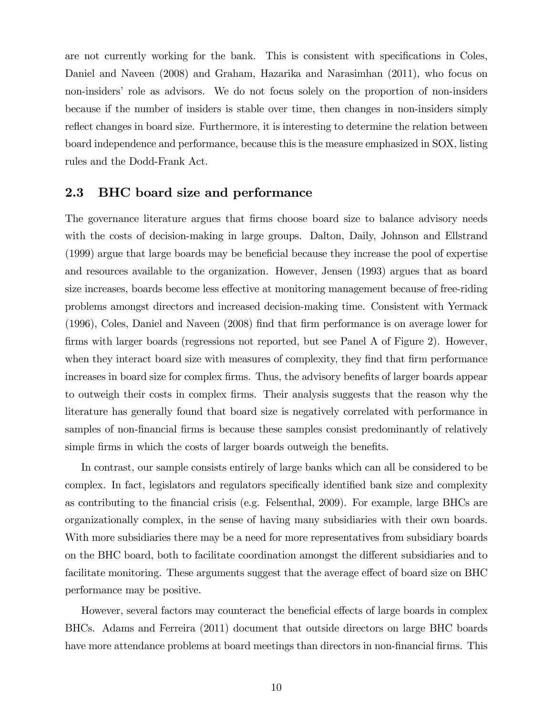are not currently working for the bank. This is consistent with specifications in Coles, Daniel and Naveen (2008) and Graham, Hazarika and Narasimhan (2011), who focus on non-insiders' role as advisors. We do not focus solely on the proportion of non-insiders because if the number of insiders is stable over time, then changes in non-insiders simply reflect changes in board size. Furthermore, it is interesting to determine the relation between board independence and performance, because this is the measure emphasized in SOX, listing rules and the Dodd-Frank Act.

## 2.3 BHC board size and performance

The governance literature argues that firms choose board size to balance advisory needs with the costs of decision-making in large groups. Dalton, Daily, Johnson and Ellstrand (1999) argue that large boards may be beneficial because they increase the pool of expertise and resources available to the organization. However, Jensen (1993) argues that as board size increases, boards become less effective at monitoring management because of free-riding problems amongst directors and increased decision-making time. Consistent with Yermack (1996), Coles, Daniel and Naveen (2008) Önd that Örm performance is on average lower for firms with larger boards (regressions not reported, but see Panel A of Figure 2). However, when they interact board size with measures of complexity, they find that firm performance increases in board size for complex firms. Thus, the advisory benefits of larger boards appear to outweigh their costs in complex Örms. Their analysis suggests that the reason why the literature has generally found that board size is negatively correlated with performance in samples of non-financial firms is because these samples consist predominantly of relatively simple firms in which the costs of larger boards outweigh the benefits.

In contrast, our sample consists entirely of large banks which can all be considered to be complex. In fact, legislators and regulators specifically identified bank size and complexity as contributing to the Önancial crisis (e.g. Felsenthal, 2009). For example, large BHCs are organizationally complex, in the sense of having many subsidiaries with their own boards. With more subsidiaries there may be a need for more representatives from subsidiary boards on the BHC board, both to facilitate coordination amongst the different subsidiaries and to facilitate monitoring. These arguments suggest that the average effect of board size on BHC performance may be positive.

However, several factors may counteract the beneficial effects of large boards in complex BHCs. Adams and Ferreira (2011) document that outside directors on large BHC boards have more attendance problems at board meetings than directors in non-financial firms. This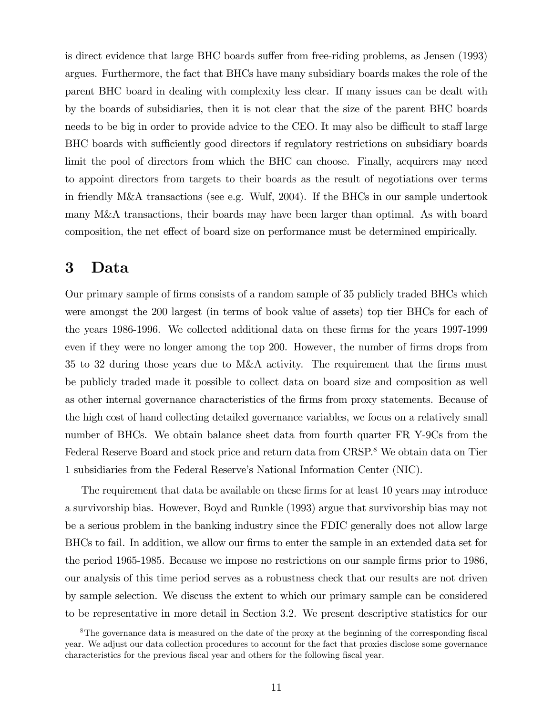is direct evidence that large BHC boards suffer from free-riding problems, as Jensen (1993) argues. Furthermore, the fact that BHCs have many subsidiary boards makes the role of the parent BHC board in dealing with complexity less clear. If many issues can be dealt with by the boards of subsidiaries, then it is not clear that the size of the parent BHC boards needs to be big in order to provide advice to the CEO. It may also be difficult to staff large BHC boards with sufficiently good directors if regulatory restrictions on subsidiary boards limit the pool of directors from which the BHC can choose. Finally, acquirers may need to appoint directors from targets to their boards as the result of negotiations over terms in friendly M&A transactions (see e.g. Wulf, 2004). If the BHCs in our sample undertook many M&A transactions, their boards may have been larger than optimal. As with board composition, the net effect of board size on performance must be determined empirically.

## 3 Data

Our primary sample of Örms consists of a random sample of 35 publicly traded BHCs which were amongst the 200 largest (in terms of book value of assets) top tier BHCs for each of the years 1986-1996. We collected additional data on these firms for the years 1997-1999 even if they were no longer among the top 200. However, the number of firms drops from 35 to 32 during those years due to M&A activity. The requirement that the Örms must be publicly traded made it possible to collect data on board size and composition as well as other internal governance characteristics of the firms from proxy statements. Because of the high cost of hand collecting detailed governance variables, we focus on a relatively small number of BHCs. We obtain balance sheet data from fourth quarter FR Y-9Cs from the Federal Reserve Board and stock price and return data from CRSP.<sup>8</sup> We obtain data on Tier 1 subsidiaries from the Federal Reserveís National Information Center (NIC).

The requirement that data be available on these firms for at least 10 years may introduce a survivorship bias. However, Boyd and Runkle (1993) argue that survivorship bias may not be a serious problem in the banking industry since the FDIC generally does not allow large BHCs to fail. In addition, we allow our firms to enter the sample in an extended data set for the period 1965-1985. Because we impose no restrictions on our sample firms prior to 1986, our analysis of this time period serves as a robustness check that our results are not driven by sample selection. We discuss the extent to which our primary sample can be considered to be representative in more detail in Section 3.2. We present descriptive statistics for our

 $8$ The governance data is measured on the date of the proxy at the beginning of the corresponding fiscal year. We adjust our data collection procedures to account for the fact that proxies disclose some governance characteristics for the previous fiscal year and others for the following fiscal year.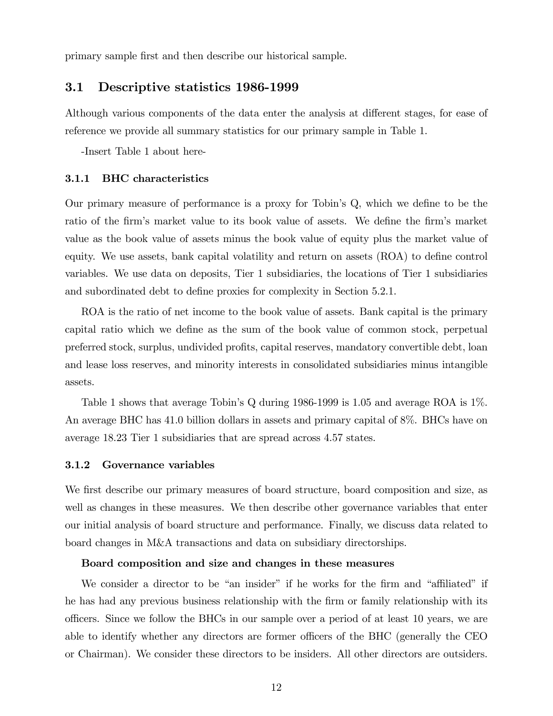primary sample Örst and then describe our historical sample.

## 3.1 Descriptive statistics 1986-1999

Although various components of the data enter the analysis at different stages, for ease of reference we provide all summary statistics for our primary sample in Table 1.

-Insert Table 1 about here-

### 3.1.1 BHC characteristics

Our primary measure of performance is a proxy for Tobin's  $Q$ , which we define to be the ratio of the firm's market value to its book value of assets. We define the firm's market value as the book value of assets minus the book value of equity plus the market value of equity. We use assets, bank capital volatility and return on assets  $(ROA)$  to define control variables. We use data on deposits, Tier 1 subsidiaries, the locations of Tier 1 subsidiaries and subordinated debt to define proxies for complexity in Section 5.2.1.

ROA is the ratio of net income to the book value of assets. Bank capital is the primary capital ratio which we deÖne as the sum of the book value of common stock, perpetual preferred stock, surplus, undivided profits, capital reserves, mandatory convertible debt, loan and lease loss reserves, and minority interests in consolidated subsidiaries minus intangible assets.

Table 1 shows that average Tobin's Q during 1986-1999 is 1.05 and average ROA is 1%. An average BHC has 41.0 billion dollars in assets and primary capital of 8%. BHCs have on average 18.23 Tier 1 subsidiaries that are spread across 4.57 states.

#### 3.1.2 Governance variables

We first describe our primary measures of board structure, board composition and size, as well as changes in these measures. We then describe other governance variables that enter our initial analysis of board structure and performance. Finally, we discuss data related to board changes in M&A transactions and data on subsidiary directorships.

### Board composition and size and changes in these measures

We consider a director to be "an insider" if he works for the firm and "affiliated" if he has had any previous business relationship with the firm or family relationship with its o¢ cers. Since we follow the BHCs in our sample over a period of at least 10 years, we are able to identify whether any directors are former officers of the BHC (generally the CEO or Chairman). We consider these directors to be insiders. All other directors are outsiders.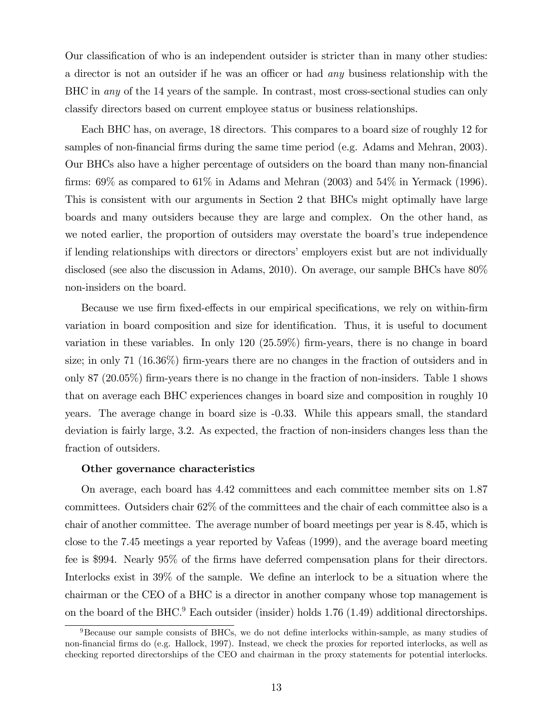Our classification of who is an independent outsider is stricter than in many other studies: a director is not an outsider if he was an officer or had any business relationship with the BHC in any of the 14 years of the sample. In contrast, most cross-sectional studies can only classify directors based on current employee status or business relationships.

Each BHC has, on average, 18 directors. This compares to a board size of roughly 12 for samples of non-financial firms during the same time period (e.g. Adams and Mehran, 2003). Our BHCs also have a higher percentage of outsiders on the board than many non-financial firms:  $69\%$  as compared to  $61\%$  in Adams and Mehran (2003) and  $54\%$  in Yermack (1996). This is consistent with our arguments in Section 2 that BHCs might optimally have large boards and many outsiders because they are large and complex. On the other hand, as we noted earlier, the proportion of outsiders may overstate the board's true independence if lending relationships with directors or directors' employers exist but are not individually disclosed (see also the discussion in Adams, 2010). On average, our sample BHCs have 80% non-insiders on the board.

Because we use firm fixed-effects in our empirical specifications, we rely on within-firm variation in board composition and size for identification. Thus, it is useful to document variation in these variables. In only 120 (25.59%) Örm-years, there is no change in board size; in only 71 (16.36%) firm-years there are no changes in the fraction of outsiders and in only 87  $(20.05\%)$  firm-years there is no change in the fraction of non-insiders. Table 1 shows that on average each BHC experiences changes in board size and composition in roughly 10 years. The average change in board size is -0.33. While this appears small, the standard deviation is fairly large, 3.2. As expected, the fraction of non-insiders changes less than the fraction of outsiders.

### Other governance characteristics

On average, each board has 4.42 committees and each committee member sits on 1.87 committees. Outsiders chair 62% of the committees and the chair of each committee also is a chair of another committee. The average number of board meetings per year is 8.45, which is close to the 7.45 meetings a year reported by Vafeas (1999), and the average board meeting fee is \$994. Nearly 95% of the firms have deferred compensation plans for their directors. Interlocks exist in 39% of the sample. We define an interlock to be a situation where the chairman or the CEO of a BHC is a director in another company whose top management is on the board of the BHC.<sup>9</sup> Each outsider (insider) holds 1.76 (1.49) additional directorships.

<sup>&</sup>lt;sup>9</sup>Because our sample consists of BHCs, we do not define interlocks within-sample, as many studies of non-financial firms do (e.g. Hallock, 1997). Instead, we check the proxies for reported interlocks, as well as checking reported directorships of the CEO and chairman in the proxy statements for potential interlocks.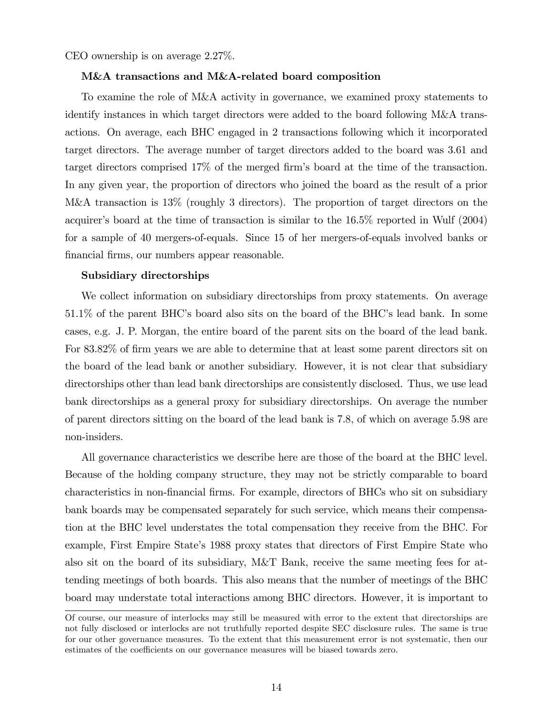CEO ownership is on average 2.27%.

### M&A transactions and M&A-related board composition

To examine the role of M&A activity in governance, we examined proxy statements to identify instances in which target directors were added to the board following M&A transactions. On average, each BHC engaged in 2 transactions following which it incorporated target directors. The average number of target directors added to the board was 3.61 and target directors comprised 17% of the merged firm's board at the time of the transaction. In any given year, the proportion of directors who joined the board as the result of a prior M&A transaction is 13% (roughly 3 directors). The proportion of target directors on the acquirer's board at the time of transaction is similar to the  $16.5\%$  reported in Wulf (2004) for a sample of 40 mergers-of-equals. Since 15 of her mergers-of-equals involved banks or Önancial Örms, our numbers appear reasonable.

#### Subsidiary directorships

We collect information on subsidiary directorships from proxy statements. On average 51.1% of the parent BHC's board also sits on the board of the BHC's lead bank. In some cases, e.g. J. P. Morgan, the entire board of the parent sits on the board of the lead bank. For 83.82% of firm years we are able to determine that at least some parent directors sit on the board of the lead bank or another subsidiary. However, it is not clear that subsidiary directorships other than lead bank directorships are consistently disclosed. Thus, we use lead bank directorships as a general proxy for subsidiary directorships. On average the number of parent directors sitting on the board of the lead bank is 7.8, of which on average 5.98 are non-insiders.

All governance characteristics we describe here are those of the board at the BHC level. Because of the holding company structure, they may not be strictly comparable to board characteristics in non-Önancial Örms. For example, directors of BHCs who sit on subsidiary bank boards may be compensated separately for such service, which means their compensation at the BHC level understates the total compensation they receive from the BHC. For example, First Empire State's 1988 proxy states that directors of First Empire State who also sit on the board of its subsidiary, M&T Bank, receive the same meeting fees for attending meetings of both boards. This also means that the number of meetings of the BHC board may understate total interactions among BHC directors. However, it is important to

Of course, our measure of interlocks may still be measured with error to the extent that directorships are not fully disclosed or interlocks are not truthfully reported despite SEC disclosure rules. The same is true for our other governance measures. To the extent that this measurement error is not systematic, then our estimates of the coefficients on our governance measures will be biased towards zero.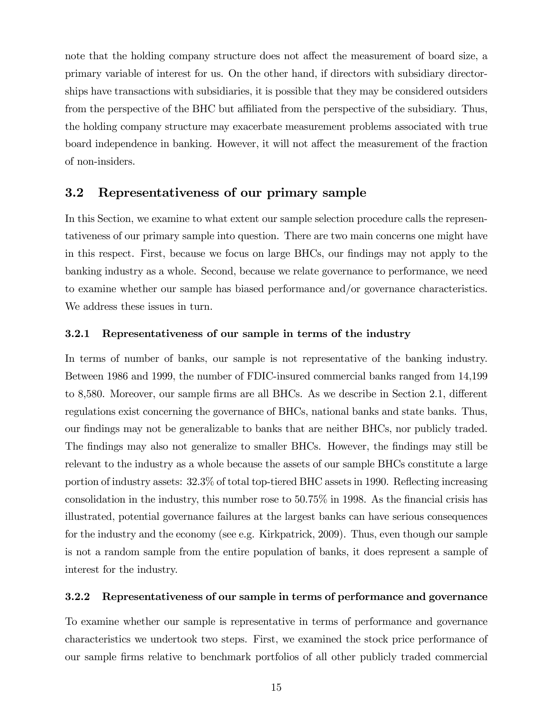note that the holding company structure does not affect the measurement of board size, a primary variable of interest for us. On the other hand, if directors with subsidiary directorships have transactions with subsidiaries, it is possible that they may be considered outsiders from the perspective of the BHC but affiliated from the perspective of the subsidiary. Thus, the holding company structure may exacerbate measurement problems associated with true board independence in banking. However, it will not affect the measurement of the fraction of non-insiders.

## 3.2 Representativeness of our primary sample

In this Section, we examine to what extent our sample selection procedure calls the representativeness of our primary sample into question. There are two main concerns one might have in this respect. First, because we focus on large BHCs, our findings may not apply to the banking industry as a whole. Second, because we relate governance to performance, we need to examine whether our sample has biased performance and/or governance characteristics. We address these issues in turn.

### 3.2.1 Representativeness of our sample in terms of the industry

In terms of number of banks, our sample is not representative of the banking industry. Between 1986 and 1999, the number of FDIC-insured commercial banks ranged from 14,199 to 8,580. Moreover, our sample firms are all BHCs. As we describe in Section 2.1, different regulations exist concerning the governance of BHCs, national banks and state banks. Thus, our Öndings may not be generalizable to banks that are neither BHCs, nor publicly traded. The findings may also not generalize to smaller BHCs. However, the findings may still be relevant to the industry as a whole because the assets of our sample BHCs constitute a large portion of industry assets:  $32.3\%$  of total top-tiered BHC assets in 1990. Reflecting increasing consolidation in the industry, this number rose to  $50.75\%$  in 1998. As the financial crisis has illustrated, potential governance failures at the largest banks can have serious consequences for the industry and the economy (see e.g. Kirkpatrick, 2009). Thus, even though our sample is not a random sample from the entire population of banks, it does represent a sample of interest for the industry.

### 3.2.2 Representativeness of our sample in terms of performance and governance

To examine whether our sample is representative in terms of performance and governance characteristics we undertook two steps. First, we examined the stock price performance of our sample Örms relative to benchmark portfolios of all other publicly traded commercial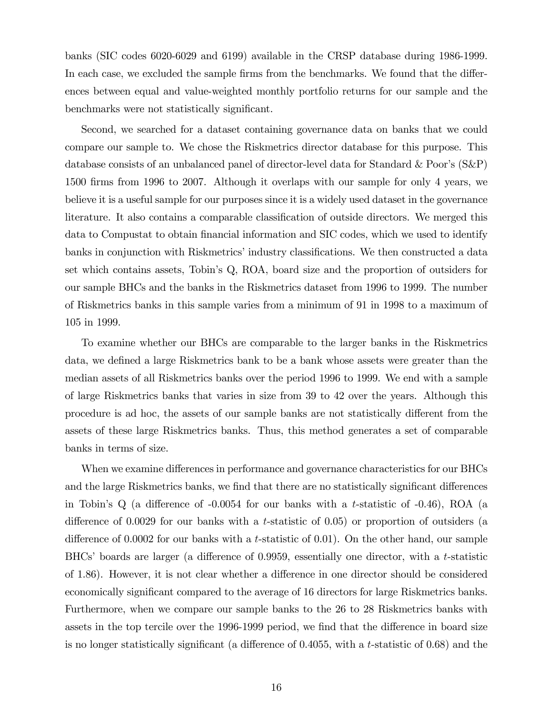banks (SIC codes 6020-6029 and 6199) available in the CRSP database during 1986-1999. In each case, we excluded the sample firms from the benchmarks. We found that the differences between equal and value-weighted monthly portfolio returns for our sample and the benchmarks were not statistically significant.

Second, we searched for a dataset containing governance data on banks that we could compare our sample to. We chose the Riskmetrics director database for this purpose. This database consists of an unbalanced panel of director-level data for Standard & Poor's  $(S\&P)$ 1500 Örms from 1996 to 2007. Although it overlaps with our sample for only 4 years, we believe it is a useful sample for our purposes since it is a widely used dataset in the governance literature. It also contains a comparable classification of outside directors. We merged this data to Compustat to obtain financial information and SIC codes, which we used to identify banks in conjunction with Riskmetrics' industry classifications. We then constructed a data set which contains assets, Tobinís Q, ROA, board size and the proportion of outsiders for our sample BHCs and the banks in the Riskmetrics dataset from 1996 to 1999. The number of Riskmetrics banks in this sample varies from a minimum of 91 in 1998 to a maximum of 105 in 1999.

To examine whether our BHCs are comparable to the larger banks in the Riskmetrics data, we defined a large Riskmetrics bank to be a bank whose assets were greater than the median assets of all Riskmetrics banks over the period 1996 to 1999. We end with a sample of large Riskmetrics banks that varies in size from 39 to 42 over the years. Although this procedure is ad hoc, the assets of our sample banks are not statistically different from the assets of these large Riskmetrics banks. Thus, this method generates a set of comparable banks in terms of size.

When we examine differences in performance and governance characteristics for our BHCs and the large Riskmetrics banks, we find that there are no statistically significant differences in Tobin's Q (a difference of  $-0.0054$  for our banks with a t-statistic of  $-0.46$ ), ROA (a difference of 0.0029 for our banks with a t-statistic of 0.05) or proportion of outsiders (a difference of 0.0002 for our banks with a t-statistic of 0.01). On the other hand, our sample BHCs<sup> $\cdot$ </sup> boards are larger (a difference of 0.9959, essentially one director, with a t-statistic of 1.86). However, it is not clear whether a difference in one director should be considered economically significant compared to the average of 16 directors for large Riskmetrics banks. Furthermore, when we compare our sample banks to the 26 to 28 Riskmetrics banks with assets in the top tercile over the 1996-1999 period, we find that the difference in board size is no longer statistically significant (a difference of 0.4055, with a t-statistic of 0.68) and the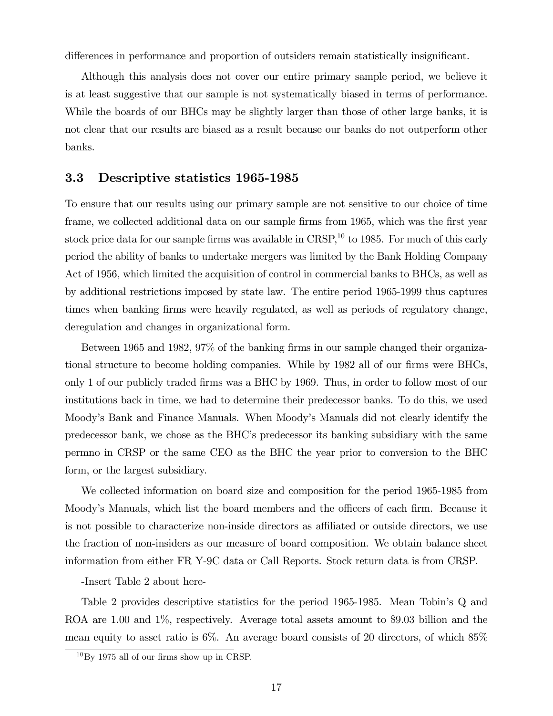differences in performance and proportion of outsiders remain statistically insignificant.

Although this analysis does not cover our entire primary sample period, we believe it is at least suggestive that our sample is not systematically biased in terms of performance. While the boards of our BHCs may be slightly larger than those of other large banks, it is not clear that our results are biased as a result because our banks do not outperform other banks.

## 3.3 Descriptive statistics 1965-1985

To ensure that our results using our primary sample are not sensitive to our choice of time frame, we collected additional data on our sample firms from 1965, which was the first year stock price data for our sample firms was available in  $CRSP<sub>10</sub>$  to 1985. For much of this early period the ability of banks to undertake mergers was limited by the Bank Holding Company Act of 1956, which limited the acquisition of control in commercial banks to BHCs, as well as by additional restrictions imposed by state law. The entire period 1965-1999 thus captures times when banking Örms were heavily regulated, as well as periods of regulatory change, deregulation and changes in organizational form.

Between 1965 and 1982, 97% of the banking firms in our sample changed their organizational structure to become holding companies. While by 1982 all of our firms were BHCs, only 1 of our publicly traded Örms was a BHC by 1969. Thus, in order to follow most of our institutions back in time, we had to determine their predecessor banks. To do this, we used Moody's Bank and Finance Manuals. When Moody's Manuals did not clearly identify the predecessor bank, we chose as the BHC's predecessor its banking subsidiary with the same permno in CRSP or the same CEO as the BHC the year prior to conversion to the BHC form, or the largest subsidiary.

We collected information on board size and composition for the period 1965-1985 from Moody's Manuals, which list the board members and the officers of each firm. Because it is not possible to characterize non-inside directors as affiliated or outside directors, we use the fraction of non-insiders as our measure of board composition. We obtain balance sheet information from either FR Y-9C data or Call Reports. Stock return data is from CRSP.

-Insert Table 2 about here-

Table 2 provides descriptive statistics for the period 1965-1985. Mean Tobinís Q and ROA are 1.00 and 1\%, respectively. Average total assets amount to \$9.03 billion and the mean equity to asset ratio is 6%. An average board consists of 20 directors, of which 85%

 $10By$  1975 all of our firms show up in CRSP.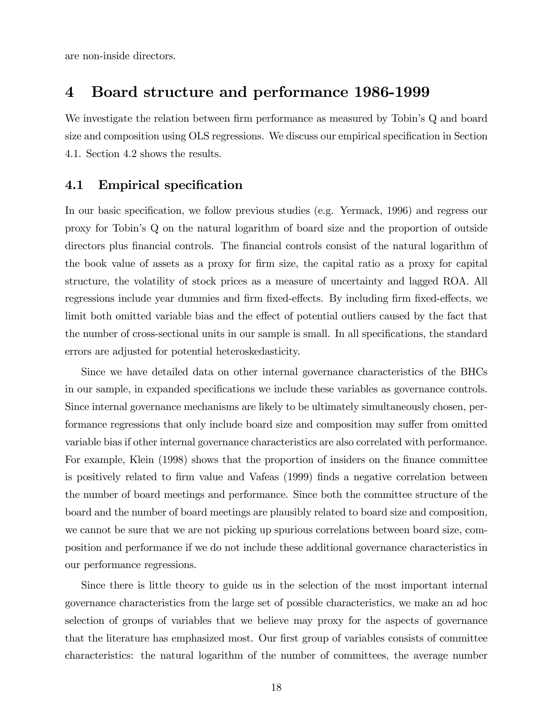are non-inside directors.

## 4 Board structure and performance 1986-1999

We investigate the relation between firm performance as measured by Tobin's Q and board size and composition using OLS regressions. We discuss our empirical specification in Section 4.1. Section 4.2 shows the results.

## 4.1 Empirical specification

In our basic specification, we follow previous studies (e.g. Yermack, 1996) and regress our proxy for Tobinís Q on the natural logarithm of board size and the proportion of outside directors plus financial controls. The financial controls consist of the natural logarithm of the book value of assets as a proxy for Örm size, the capital ratio as a proxy for capital structure, the volatility of stock prices as a measure of uncertainty and lagged ROA. All regressions include year dummies and firm fixed-effects. By including firm fixed-effects, we limit both omitted variable bias and the effect of potential outliers caused by the fact that the number of cross-sectional units in our sample is small. In all specifications, the standard errors are adjusted for potential heteroskedasticity.

Since we have detailed data on other internal governance characteristics of the BHCs in our sample, in expanded specifications we include these variables as governance controls. Since internal governance mechanisms are likely to be ultimately simultaneously chosen, performance regressions that only include board size and composition may suffer from omitted variable bias if other internal governance characteristics are also correlated with performance. For example, Klein (1998) shows that the proportion of insiders on the finance committee is positively related to Örm value and Vafeas (1999) Önds a negative correlation between the number of board meetings and performance. Since both the committee structure of the board and the number of board meetings are plausibly related to board size and composition, we cannot be sure that we are not picking up spurious correlations between board size, composition and performance if we do not include these additional governance characteristics in our performance regressions.

Since there is little theory to guide us in the selection of the most important internal governance characteristics from the large set of possible characteristics, we make an ad hoc selection of groups of variables that we believe may proxy for the aspects of governance that the literature has emphasized most. Our first group of variables consists of committee characteristics: the natural logarithm of the number of committees, the average number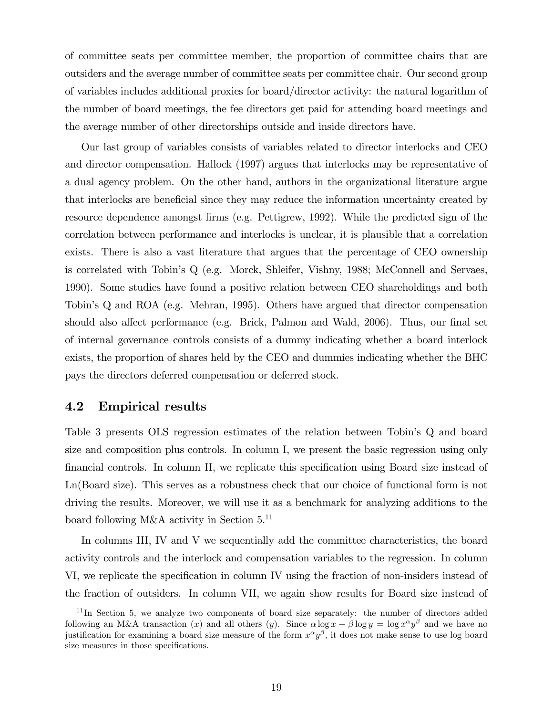of committee seats per committee member, the proportion of committee chairs that are outsiders and the average number of committee seats per committee chair. Our second group of variables includes additional proxies for board/director activity: the natural logarithm of the number of board meetings, the fee directors get paid for attending board meetings and the average number of other directorships outside and inside directors have.

Our last group of variables consists of variables related to director interlocks and CEO and director compensation. Hallock (1997) argues that interlocks may be representative of a dual agency problem. On the other hand, authors in the organizational literature argue that interlocks are beneficial since they may reduce the information uncertainty created by resource dependence amongst firms (e.g. Pettigrew, 1992). While the predicted sign of the correlation between performance and interlocks is unclear, it is plausible that a correlation exists. There is also a vast literature that argues that the percentage of CEO ownership is correlated with Tobinís Q (e.g. Morck, Shleifer, Vishny, 1988; McConnell and Servaes, 1990). Some studies have found a positive relation between CEO shareholdings and both Tobinís Q and ROA (e.g. Mehran, 1995). Others have argued that director compensation should also affect performance (e.g. Brick, Palmon and Wald, 2006). Thus, our final set of internal governance controls consists of a dummy indicating whether a board interlock exists, the proportion of shares held by the CEO and dummies indicating whether the BHC pays the directors deferred compensation or deferred stock.

## 4.2 Empirical results

Table 3 presents OLS regression estimates of the relation between Tobin's Q and board size and composition plus controls. In column I, we present the basic regression using only financial controls. In column II, we replicate this specification using Board size instead of Ln(Board size). This serves as a robustness check that our choice of functional form is not driving the results. Moreover, we will use it as a benchmark for analyzing additions to the board following M&A activity in Section 5.<sup>11</sup>

In columns III, IV and V we sequentially add the committee characteristics, the board activity controls and the interlock and compensation variables to the regression. In column VI, we replicate the specification in column IV using the fraction of non-insiders instead of the fraction of outsiders. In column VII, we again show results for Board size instead of

<sup>11</sup> In Section 5, we analyze two components of board size separately: the number of directors added following an M&A transaction (x) and all others (y). Since  $\alpha \log x + \beta \log y = \log x^{\alpha} y^{\beta}$  and we have no justification for examining a board size measure of the form  $x^{\alpha}y^{\beta}$ , it does not make sense to use log board size measures in those specifications.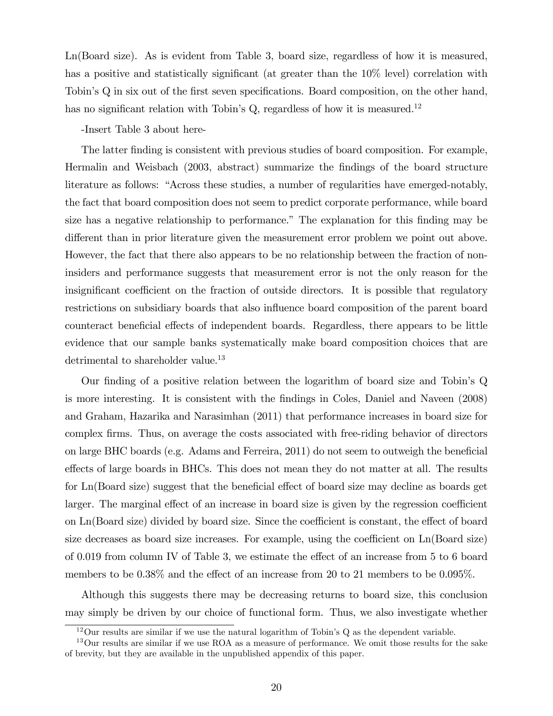Ln(Board size). As is evident from Table 3, board size, regardless of how it is measured, has a positive and statistically significant (at greater than the  $10\%$  level) correlation with Tobin's Q in six out of the first seven specifications. Board composition, on the other hand, has no significant relation with Tobin's Q, regardless of how it is measured.<sup>12</sup>

-Insert Table 3 about here-

The latter finding is consistent with previous studies of board composition. For example, Hermalin and Weisbach (2003, abstract) summarize the Öndings of the board structure literature as follows: "Across these studies, a number of regularities have emerged-notably, the fact that board composition does not seem to predict corporate performance, while board size has a negative relationship to performance." The explanation for this finding may be different than in prior literature given the measurement error problem we point out above. However, the fact that there also appears to be no relationship between the fraction of noninsiders and performance suggests that measurement error is not the only reason for the insignificant coefficient on the fraction of outside directors. It is possible that regulatory restrictions on subsidiary boards that also influence board composition of the parent board counteract beneficial effects of independent boards. Regardless, there appears to be little evidence that our sample banks systematically make board composition choices that are detrimental to shareholder value.<sup>13</sup>

Our finding of a positive relation between the logarithm of board size and Tobin's Q is more interesting. It is consistent with the Öndings in Coles, Daniel and Naveen (2008) and Graham, Hazarika and Narasimhan (2011) that performance increases in board size for complex Örms. Thus, on average the costs associated with free-riding behavior of directors on large BHC boards (e.g. Adams and Ferreira,  $2011$ ) do not seem to outweigh the beneficial effects of large boards in BHCs. This does not mean they do not matter at all. The results for Ln(Board size) suggest that the beneficial effect of board size may decline as boards get larger. The marginal effect of an increase in board size is given by the regression coefficient on Ln(Board size) divided by board size. Since the coefficient is constant, the effect of board size decreases as board size increases. For example, using the coefficient on  $Ln(Board size)$ of 0.019 from column IV of Table 3, we estimate the effect of an increase from  $5$  to 6 board members to be  $0.38\%$  and the effect of an increase from 20 to 21 members to be  $0.095\%$ .

Although this suggests there may be decreasing returns to board size, this conclusion may simply be driven by our choice of functional form. Thus, we also investigate whether

 $12$ Our results are similar if we use the natural logarithm of Tobin's Q as the dependent variable.

<sup>&</sup>lt;sup>13</sup>Our results are similar if we use ROA as a measure of performance. We omit those results for the sake of brevity, but they are available in the unpublished appendix of this paper.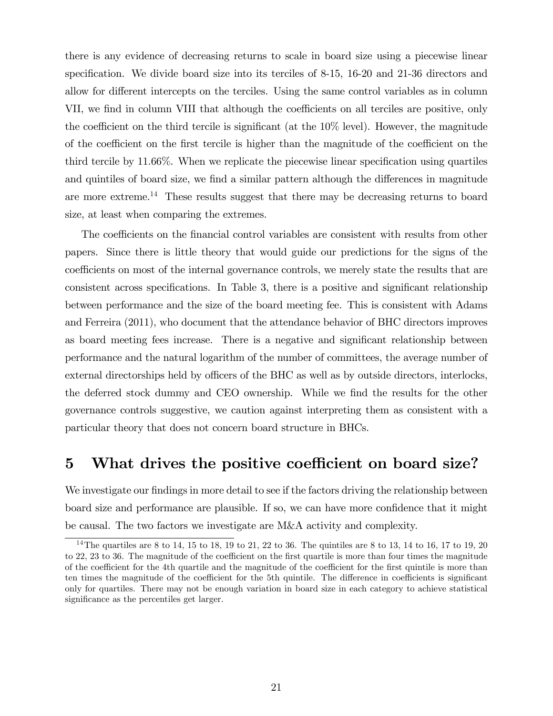there is any evidence of decreasing returns to scale in board size using a piecewise linear specification. We divide board size into its terciles of 8-15, 16-20 and 21-36 directors and allow for different intercepts on the terciles. Using the same control variables as in column VII, we find in column VIII that although the coefficients on all terciles are positive, only the coefficient on the third tercile is significant (at the  $10\%$  level). However, the magnitude of the coefficient on the first tercile is higher than the magnitude of the coefficient on the third tercile by  $11.66\%$ . When we replicate the piecewise linear specification using quartiles and quintiles of board size, we find a similar pattern although the differences in magnitude are more extreme.<sup>14</sup> These results suggest that there may be decreasing returns to board size, at least when comparing the extremes.

The coefficients on the financial control variables are consistent with results from other papers. Since there is little theory that would guide our predictions for the signs of the coefficients on most of the internal governance controls, we merely state the results that are consistent across specifications. In Table 3, there is a positive and significant relationship between performance and the size of the board meeting fee. This is consistent with Adams and Ferreira (2011), who document that the attendance behavior of BHC directors improves as board meeting fees increase. There is a negative and significant relationship between performance and the natural logarithm of the number of committees, the average number of external directorships held by officers of the BHC as well as by outside directors, interlocks, the deferred stock dummy and CEO ownership. While we find the results for the other governance controls suggestive, we caution against interpreting them as consistent with a particular theory that does not concern board structure in BHCs.

## 5 What drives the positive coefficient on board size?

We investigate our findings in more detail to see if the factors driving the relationship between board size and performance are plausible. If so, we can have more confidence that it might be causal. The two factors we investigate are M&A activity and complexity.

<sup>&</sup>lt;sup>14</sup>The quartiles are 8 to 14, 15 to 18, 19 to 21, 22 to 36. The quintiles are 8 to 13, 14 to 16, 17 to 19, 20 to 22, 23 to 36. The magnitude of the coefficient on the first quartile is more than four times the magnitude of the coefficient for the 4th quartile and the magnitude of the coefficient for the first quintile is more than ten times the magnitude of the coefficient for the 5th quintile. The difference in coefficients is significant only for quartiles. There may not be enough variation in board size in each category to achieve statistical significance as the percentiles get larger.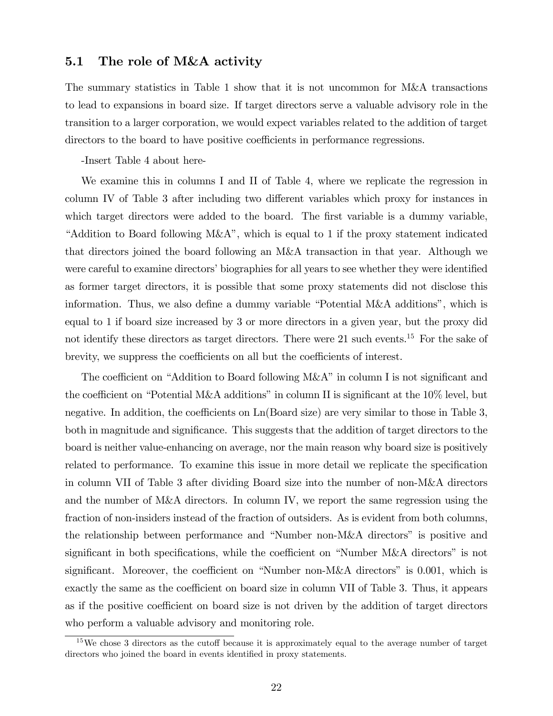## 5.1 The role of M&A activity

The summary statistics in Table 1 show that it is not uncommon for M&A transactions to lead to expansions in board size. If target directors serve a valuable advisory role in the transition to a larger corporation, we would expect variables related to the addition of target directors to the board to have positive coefficients in performance regressions.

-Insert Table 4 about here-

We examine this in columns I and II of Table 4, where we replicate the regression in column IV of Table 3 after including two different variables which proxy for instances in which target directors were added to the board. The first variable is a dummy variable, "Addition to Board following M&A", which is equal to 1 if the proxy statement indicated that directors joined the board following an M&A transaction in that year. Although we were careful to examine directors' biographies for all years to see whether they were identified as former target directors, it is possible that some proxy statements did not disclose this information. Thus, we also define a dummy variable "Potential M&A additions", which is equal to 1 if board size increased by 3 or more directors in a given year, but the proxy did not identify these directors as target directors. There were 21 such events.<sup>15</sup> For the sake of brevity, we suppress the coefficients on all but the coefficients of interest.

The coefficient on "Addition to Board following M&A" in column I is not significant and the coefficient on "Potential M&A additions" in column II is significant at the  $10\%$  level, but negative. In addition, the coefficients on  $Ln(Board size)$  are very similar to those in Table 3, both in magnitude and significance. This suggests that the addition of target directors to the board is neither value-enhancing on average, nor the main reason why board size is positively related to performance. To examine this issue in more detail we replicate the specification in column VII of Table 3 after dividing Board size into the number of non-M&A directors and the number of M&A directors. In column IV, we report the same regression using the fraction of non-insiders instead of the fraction of outsiders. As is evident from both columns, the relationship between performance and "Number non-M&A directors" is positive and significant in both specifications, while the coefficient on "Number M&A directors" is not significant. Moreover, the coefficient on "Number non-M&A directors" is 0.001, which is exactly the same as the coefficient on board size in column VII of Table 3. Thus, it appears as if the positive coefficient on board size is not driven by the addition of target directors who perform a valuable advisory and monitoring role.

<sup>&</sup>lt;sup>15</sup>We chose 3 directors as the cutoff because it is approximately equal to the average number of target directors who joined the board in events identified in proxy statements.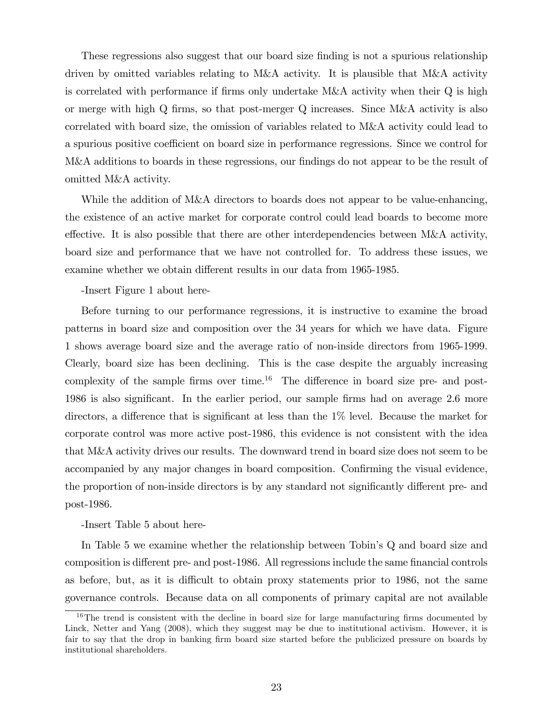These regressions also suggest that our board size finding is not a spurious relationship driven by omitted variables relating to M&A activity. It is plausible that M&A activity is correlated with performance if firms only undertake  $M\&\text{A}$  activity when their  $\text{Q}$  is high or merge with high Q firms, so that post-merger Q increases. Since M&A activity is also correlated with board size, the omission of variables related to M&A activity could lead to a spurious positive coefficient on board size in performance regressions. Since we control for M&A additions to boards in these regressions, our findings do not appear to be the result of omitted M&A activity.

While the addition of M&A directors to boards does not appear to be value-enhancing, the existence of an active market for corporate control could lead boards to become more effective. It is also possible that there are other interdependencies between  $M\&A$  activity, board size and performance that we have not controlled for. To address these issues, we examine whether we obtain different results in our data from 1965-1985.

-Insert Figure 1 about here-

Before turning to our performance regressions, it is instructive to examine the broad patterns in board size and composition over the 34 years for which we have data. Figure 1 shows average board size and the average ratio of non-inside directors from 1965-1999. Clearly, board size has been declining. This is the case despite the arguably increasing complexity of the sample firms over time.<sup>16</sup> The difference in board size pre- and post-1986 is also significant. In the earlier period, our sample firms had on average 2.6 more directors, a difference that is significant at less than the  $1\%$  level. Because the market for corporate control was more active post-1986, this evidence is not consistent with the idea that M&A activity drives our results. The downward trend in board size does not seem to be accompanied by any major changes in board composition. Confirming the visual evidence, the proportion of non-inside directors is by any standard not significantly different pre- and post-1986.

-Insert Table 5 about here-

In Table 5 we examine whether the relationship between Tobin's Q and board size and composition is different pre- and post-1986. All regressions include the same financial controls as before, but, as it is difficult to obtain proxy statements prior to 1986, not the same governance controls. Because data on all components of primary capital are not available

<sup>&</sup>lt;sup>16</sup>The trend is consistent with the decline in board size for large manufacturing firms documented by Linck, Netter and Yang (2008), which they suggest may be due to institutional activism. However, it is fair to say that the drop in banking firm board size started before the publicized pressure on boards by institutional shareholders.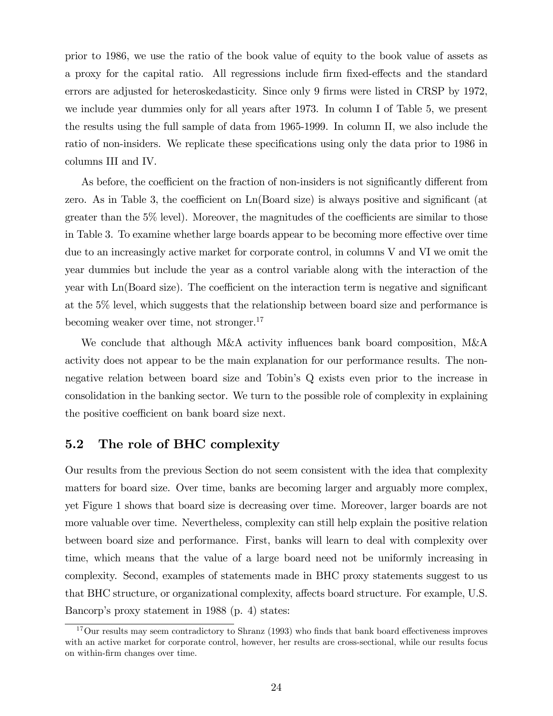prior to 1986, we use the ratio of the book value of equity to the book value of assets as a proxy for the capital ratio. All regressions include firm fixed-effects and the standard errors are adjusted for heteroskedasticity. Since only 9 firms were listed in CRSP by 1972, we include year dummies only for all years after 1973. In column I of Table 5, we present the results using the full sample of data from 1965-1999. In column II, we also include the ratio of non-insiders. We replicate these specifications using only the data prior to 1986 in columns III and IV.

As before, the coefficient on the fraction of non-insiders is not significantly different from zero. As in Table 3, the coefficient on  $Ln(Board size)$  is always positive and significant (at greater than the  $5\%$  level). Moreover, the magnitudes of the coefficients are similar to those in Table 3. To examine whether large boards appear to be becoming more effective over time due to an increasingly active market for corporate control, in columns V and VI we omit the year dummies but include the year as a control variable along with the interaction of the year with  $Ln(Board size)$ . The coefficient on the interaction term is negative and significant at the 5% level, which suggests that the relationship between board size and performance is becoming weaker over time, not stronger.<sup>17</sup>

We conclude that although  $M\&A$  activity influences bank board composition,  $M\&A$ activity does not appear to be the main explanation for our performance results. The nonnegative relation between board size and Tobinís Q exists even prior to the increase in consolidation in the banking sector. We turn to the possible role of complexity in explaining the positive coefficient on bank board size next.

## 5.2 The role of BHC complexity

Our results from the previous Section do not seem consistent with the idea that complexity matters for board size. Over time, banks are becoming larger and arguably more complex, yet Figure 1 shows that board size is decreasing over time. Moreover, larger boards are not more valuable over time. Nevertheless, complexity can still help explain the positive relation between board size and performance. First, banks will learn to deal with complexity over time, which means that the value of a large board need not be uniformly increasing in complexity. Second, examples of statements made in BHC proxy statements suggest to us that BHC structure, or organizational complexity, affects board structure. For example, U.S. Bancorp's proxy statement in 1988 (p. 4) states:

 $17$ Our results may seem contradictory to Shranz (1993) who finds that bank board effectiveness improves with an active market for corporate control, however, her results are cross-sectional, while our results focus on within-Örm changes over time.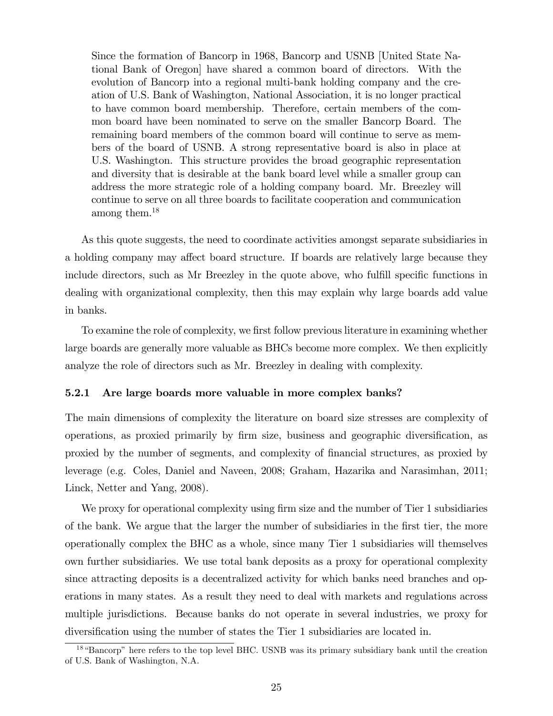Since the formation of Bancorp in 1968, Bancorp and USNB [United State National Bank of Oregon] have shared a common board of directors. With the evolution of Bancorp into a regional multi-bank holding company and the creation of U.S. Bank of Washington, National Association, it is no longer practical to have common board membership. Therefore, certain members of the common board have been nominated to serve on the smaller Bancorp Board. The remaining board members of the common board will continue to serve as members of the board of USNB. A strong representative board is also in place at U.S. Washington. This structure provides the broad geographic representation and diversity that is desirable at the bank board level while a smaller group can address the more strategic role of a holding company board. Mr. Breezley will continue to serve on all three boards to facilitate cooperation and communication among them.<sup>18</sup>

As this quote suggests, the need to coordinate activities amongst separate subsidiaries in a holding company may affect board structure. If boards are relatively large because they include directors, such as Mr Breezley in the quote above, who fulfill specific functions in dealing with organizational complexity, then this may explain why large boards add value in banks.

To examine the role of complexity, we first follow previous literature in examining whether large boards are generally more valuable as BHCs become more complex. We then explicitly analyze the role of directors such as Mr. Breezley in dealing with complexity.

### 5.2.1 Are large boards more valuable in more complex banks?

The main dimensions of complexity the literature on board size stresses are complexity of operations, as proxied primarily by firm size, business and geographic diversification, as proxied by the number of segments, and complexity of Önancial structures, as proxied by leverage (e.g. Coles, Daniel and Naveen, 2008; Graham, Hazarika and Narasimhan, 2011; Linck, Netter and Yang, 2008).

We proxy for operational complexity using firm size and the number of Tier 1 subsidiaries of the bank. We argue that the larger the number of subsidiaries in the first tier, the more operationally complex the BHC as a whole, since many Tier 1 subsidiaries will themselves own further subsidiaries. We use total bank deposits as a proxy for operational complexity since attracting deposits is a decentralized activity for which banks need branches and operations in many states. As a result they need to deal with markets and regulations across multiple jurisdictions. Because banks do not operate in several industries, we proxy for diversification using the number of states the Tier 1 subsidiaries are located in.

<sup>&</sup>lt;sup>18</sup> "Bancorp" here refers to the top level BHC. USNB was its primary subsidiary bank until the creation of U.S. Bank of Washington, N.A.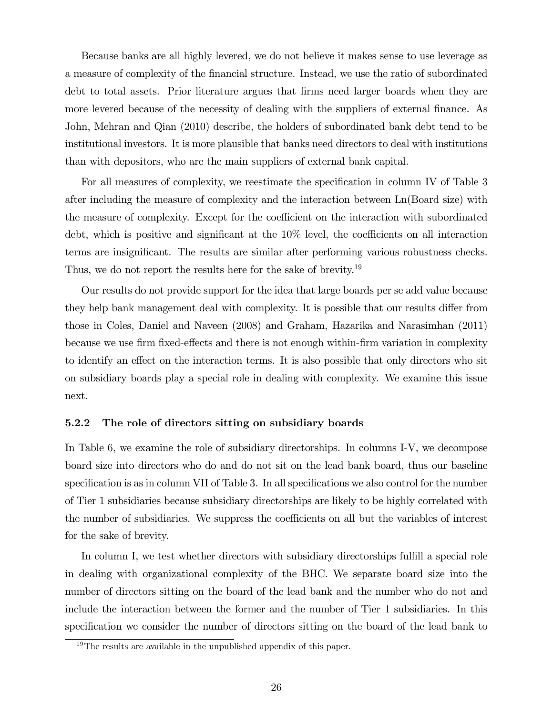Because banks are all highly levered, we do not believe it makes sense to use leverage as a measure of complexity of the Önancial structure. Instead, we use the ratio of subordinated debt to total assets. Prior literature argues that firms need larger boards when they are more levered because of the necessity of dealing with the suppliers of external finance. As John, Mehran and Qian (2010) describe, the holders of subordinated bank debt tend to be institutional investors. It is more plausible that banks need directors to deal with institutions than with depositors, who are the main suppliers of external bank capital.

For all measures of complexity, we reestimate the specification in column IV of Table 3 after including the measure of complexity and the interaction between Ln(Board size) with the measure of complexity. Except for the coefficient on the interaction with subordinated debt, which is positive and significant at the  $10\%$  level, the coefficients on all interaction terms are insignificant. The results are similar after performing various robustness checks. Thus, we do not report the results here for the sake of brevity.<sup>19</sup>

Our results do not provide support for the idea that large boards per se add value because they help bank management deal with complexity. It is possible that our results differ from those in Coles, Daniel and Naveen (2008) and Graham, Hazarika and Narasimhan (2011) because we use firm fixed-effects and there is not enough within-firm variation in complexity to identify an effect on the interaction terms. It is also possible that only directors who sit on subsidiary boards play a special role in dealing with complexity. We examine this issue next.

### 5.2.2 The role of directors sitting on subsidiary boards

In Table 6, we examine the role of subsidiary directorships. In columns I-V, we decompose board size into directors who do and do not sit on the lead bank board, thus our baseline specification is as in column VII of Table 3. In all specifications we also control for the number of Tier 1 subsidiaries because subsidiary directorships are likely to be highly correlated with the number of subsidiaries. We suppress the coefficients on all but the variables of interest for the sake of brevity.

In column I, we test whether directors with subsidiary directorships fulfill a special role in dealing with organizational complexity of the BHC. We separate board size into the number of directors sitting on the board of the lead bank and the number who do not and include the interaction between the former and the number of Tier 1 subsidiaries. In this specification we consider the number of directors sitting on the board of the lead bank to

<sup>&</sup>lt;sup>19</sup>The results are available in the unpublished appendix of this paper.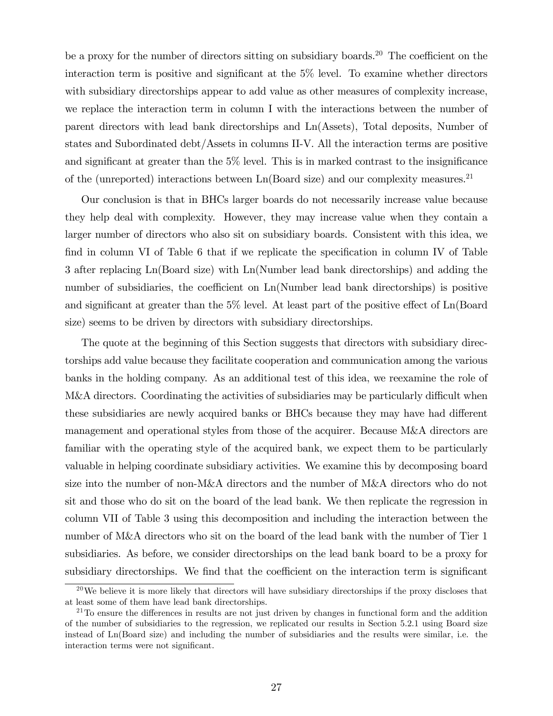be a proxy for the number of directors sitting on subsidiary boards.<sup>20</sup> The coefficient on the interaction term is positive and significant at the  $5\%$  level. To examine whether directors with subsidiary directorships appear to add value as other measures of complexity increase, we replace the interaction term in column I with the interactions between the number of parent directors with lead bank directorships and Ln(Assets), Total deposits, Number of states and Subordinated debt/Assets in columns II-V. All the interaction terms are positive and significant at greater than the  $5\%$  level. This is in marked contrast to the insignificance of the (unreported) interactions between  $\text{Ln}(\text{Board size})$  and our complexity measures.<sup>21</sup>

Our conclusion is that in BHCs larger boards do not necessarily increase value because they help deal with complexity. However, they may increase value when they contain a larger number of directors who also sit on subsidiary boards. Consistent with this idea, we find in column VI of Table 6 that if we replicate the specification in column IV of Table 3 after replacing Ln(Board size) with Ln(Number lead bank directorships) and adding the number of subsidiaries, the coefficient on  $Ln(Number$  lead bank directorships) is positive and significant at greater than the  $5\%$  level. At least part of the positive effect of Ln(Board size) seems to be driven by directors with subsidiary directorships.

The quote at the beginning of this Section suggests that directors with subsidiary directorships add value because they facilitate cooperation and communication among the various banks in the holding company. As an additional test of this idea, we reexamine the role of  $M&A$  directors. Coordinating the activities of subsidiaries may be particularly difficult when these subsidiaries are newly acquired banks or BHCs because they may have had different management and operational styles from those of the acquirer. Because M&A directors are familiar with the operating style of the acquired bank, we expect them to be particularly valuable in helping coordinate subsidiary activities. We examine this by decomposing board size into the number of non-M&A directors and the number of M&A directors who do not sit and those who do sit on the board of the lead bank. We then replicate the regression in column VII of Table 3 using this decomposition and including the interaction between the number of M&A directors who sit on the board of the lead bank with the number of Tier 1 subsidiaries. As before, we consider directorships on the lead bank board to be a proxy for subsidiary directorships. We find that the coefficient on the interaction term is significant

 $^{20}$ We believe it is more likely that directors will have subsidiary directorships if the proxy discloses that at least some of them have lead bank directorships.

 $21$ To ensure the differences in results are not just driven by changes in functional form and the addition of the number of subsidiaries to the regression, we replicated our results in Section 5.2.1 using Board size instead of Ln(Board size) and including the number of subsidiaries and the results were similar, i.e. the interaction terms were not significant.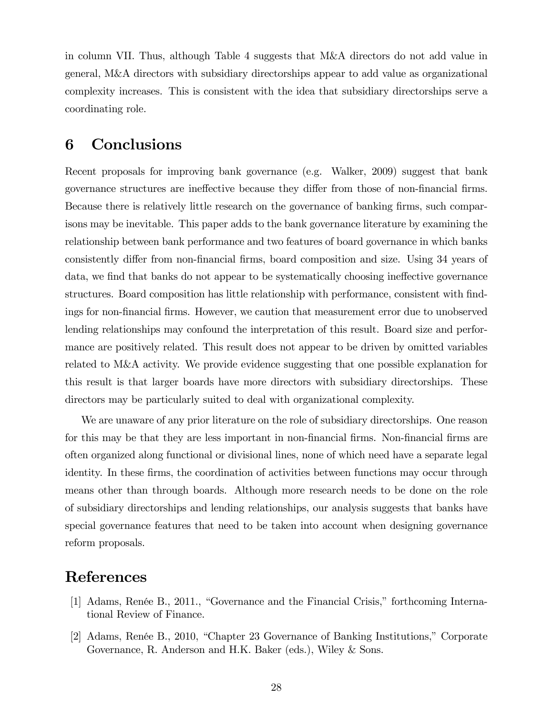in column VII. Thus, although Table 4 suggests that M&A directors do not add value in general, M&A directors with subsidiary directorships appear to add value as organizational complexity increases. This is consistent with the idea that subsidiary directorships serve a coordinating role.

# 6 Conclusions

Recent proposals for improving bank governance (e.g. Walker, 2009) suggest that bank governance structures are ineffective because they differ from those of non-financial firms. Because there is relatively little research on the governance of banking firms, such comparisons may be inevitable. This paper adds to the bank governance literature by examining the relationship between bank performance and two features of board governance in which banks consistently differ from non-financial firms, board composition and size. Using 34 years of data, we find that banks do not appear to be systematically choosing ineffective governance structures. Board composition has little relationship with performance, consistent with findings for non-financial firms. However, we caution that measurement error due to unobserved lending relationships may confound the interpretation of this result. Board size and performance are positively related. This result does not appear to be driven by omitted variables related to M&A activity. We provide evidence suggesting that one possible explanation for this result is that larger boards have more directors with subsidiary directorships. These directors may be particularly suited to deal with organizational complexity.

We are unaware of any prior literature on the role of subsidiary directorships. One reason for this may be that they are less important in non-financial firms. Non-financial firms are often organized along functional or divisional lines, none of which need have a separate legal identity. In these firms, the coordination of activities between functions may occur through means other than through boards. Although more research needs to be done on the role of subsidiary directorships and lending relationships, our analysis suggests that banks have special governance features that need to be taken into account when designing governance reform proposals.

# References

- [1] Adams, Renée B., 2011., "Governance and the Financial Crisis," forthcoming International Review of Finance.
- [2] Adams, Renée B., 2010, "Chapter 23 Governance of Banking Institutions," Corporate Governance, R. Anderson and H.K. Baker (eds.), Wiley & Sons.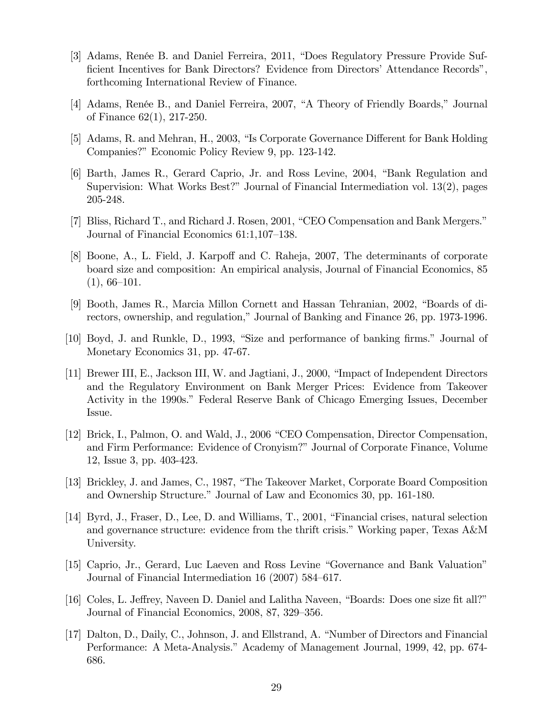- [3] Adams, Renée B. and Daniel Ferreira, 2011, "Does Regulatory Pressure Provide Sufficient Incentives for Bank Directors? Evidence from Directors' Attendance Records", forthcoming International Review of Finance.
- [4] Adams, Renée B., and Daniel Ferreira, 2007, "A Theory of Friendly Boards," Journal of Finance 62(1), 217-250.
- [5] Adams, R. and Mehran, H., 2003, "Is Corporate Governance Different for Bank Holding Companies?" Economic Policy Review 9, pp. 123-142.
- [6] Barth, James R., Gerard Caprio, Jr. and Ross Levine, 2004, "Bank Regulation and Supervision: What Works Best?" Journal of Financial Intermediation vol.  $13(2)$ , pages 205-248.
- [7] Bliss, Richard T., and Richard J. Rosen, 2001, "CEO Compensation and Bank Mergers." Journal of Financial Economics 61:1,107–138.
- [8] Boone, A., L. Field, J. Karpoff and C. Raheja, 2007, The determinants of corporate board size and composition: An empirical analysis, Journal of Financial Economics, 85  $(1), 66-101.$
- [9] Booth, James R., Marcia Millon Cornett and Hassan Tehranian, 2002, "Boards of directors, ownership, and regulation," Journal of Banking and Finance 26, pp. 1973-1996.
- [10] Boyd, J. and Runkle, D., 1993, "Size and performance of banking firms." Journal of Monetary Economics 31, pp. 47-67.
- [11] Brewer III, E., Jackson III, W. and Jagtiani, J., 2000, "Impact of Independent Directors" and the Regulatory Environment on Bank Merger Prices: Evidence from Takeover Activity in the 1990s.î Federal Reserve Bank of Chicago Emerging Issues, December Issue.
- [12] Brick, I., Palmon, O. and Wald, J., 2006 "CEO Compensation, Director Compensation, and Firm Performance: Evidence of Cronyism?" Journal of Corporate Finance, Volume 12, Issue 3, pp. 403-423.
- [13] Brickley, J. and James, C., 1987, "The Takeover Market, Corporate Board Composition and Ownership Structure." Journal of Law and Economics 30, pp. 161-180.
- [14] Byrd, J., Fraser, D., Lee, D. and Williams, T., 2001, "Financial crises, natural selection and governance structure: evidence from the thrift crisis." Working paper, Texas A&M University.
- [15] Caprio, Jr., Gerard, Luc Laeven and Ross Levine "Governance and Bank Valuation" Journal of Financial Intermediation 16 (2007) 584–617.
- [16] Coles, L. Jeffrey, Naveen D. Daniel and Lalitha Naveen, "Boards: Does one size fit all?" Journal of Financial Economics, 2008, 87, 329–356.
- [17] Dalton, D., Daily, C., Johnson, J. and Ellstrand, A. "Number of Directors and Financial Performance: A Meta-Analysis." Academy of Management Journal, 1999, 42, pp. 674-686.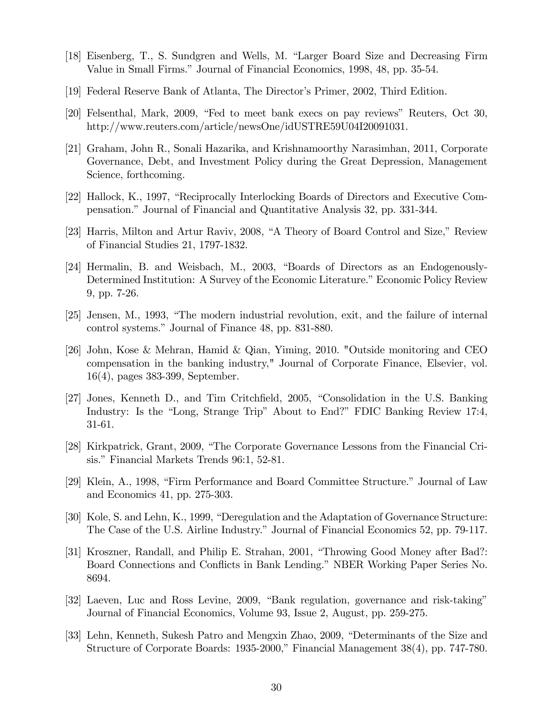- [18] Eisenberg, T., S. Sundgren and Wells, M. "Larger Board Size and Decreasing Firm Value in Small Firms." Journal of Financial Economics, 1998, 48, pp. 35-54.
- [19] Federal Reserve Bank of Atlanta, The Director's Primer, 2002, Third Edition.
- [20] Felsenthal, Mark, 2009, "Fed to meet bank execs on pay reviews" Reuters, Oct 30, http://www.reuters.com/article/newsOne/idUSTRE59U04I20091031.
- [21] Graham, John R., Sonali Hazarika, and Krishnamoorthy Narasimhan, 2011, Corporate Governance, Debt, and Investment Policy during the Great Depression, Management Science, forthcoming.
- [22] Hallock, K., 1997, "Reciprocally Interlocking Boards of Directors and Executive Compensation." Journal of Financial and Quantitative Analysis 32, pp. 331-344.
- [23] Harris, Milton and Artur Raviv, 2008, "A Theory of Board Control and Size," Review of Financial Studies 21, 1797-1832.
- [24] Hermalin, B. and Weisbach, M., 2003, "Boards of Directors as an Endogenously-Determined Institution: A Survey of the Economic Literature." Economic Policy Review 9, pp. 7-26.
- [25] Jensen, M., 1993, "The modern industrial revolution, exit, and the failure of internal control systems." Journal of Finance 48, pp. 831-880.
- [26] John, Kose & Mehran, Hamid & Qian, Yiming, 2010. "Outside monitoring and CEO compensation in the banking industry," Journal of Corporate Finance, Elsevier, vol. 16(4), pages 383-399, September.
- [27] Jones, Kenneth D., and Tim Critchfield, 2005, "Consolidation in the U.S. Banking Industry: Is the "Long, Strange Trip" About to End?" FDIC Banking Review 17:4, 31-61.
- [28] Kirkpatrick, Grant, 2009, "The Corporate Governance Lessons from the Financial Crisis." Financial Markets Trends 96:1, 52-81.
- [29] Klein, A., 1998, "Firm Performance and Board Committee Structure." Journal of Law and Economics 41, pp. 275-303.
- [30] Kole, S. and Lehn, K., 1999, "Deregulation and the Adaptation of Governance Structure: The Case of the U.S. Airline Industry." Journal of Financial Economics 52, pp. 79-117.
- [31] Kroszner, Randall, and Philip E. Strahan, 2001, "Throwing Good Money after Bad?: Board Connections and Conflicts in Bank Lending." NBER Working Paper Series No. 8694.
- [32] Laeven, Luc and Ross Levine, 2009, "Bank regulation, governance and risk-taking" Journal of Financial Economics, Volume 93, Issue 2, August, pp. 259-275.
- [33] Lehn, Kenneth, Sukesh Patro and Mengxin Zhao, 2009, "Determinants of the Size and Structure of Corporate Boards:  $1935-2000$ ," Financial Management  $38(4)$ , pp. 747-780.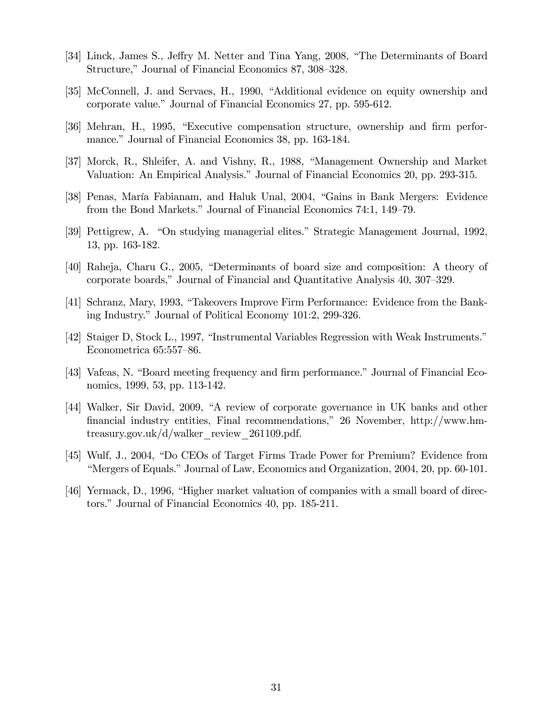- [34] Linck, James S., Jeffry M. Netter and Tina Yang, 2008, "The Determinants of Board Structure," Journal of Financial Economics 87, 308–328.
- [35] McConnell, J. and Servaes, H., 1990, "Additional evidence on equity ownership and corporate value." Journal of Financial Economics 27, pp. 595-612.
- [36] Mehran, H., 1995, "Executive compensation structure, ownership and firm performance." Journal of Financial Economics 38, pp. 163-184.
- [37] Morck, R., Shleifer, A. and Vishny, R., 1988, "Management Ownership and Market Valuation: An Empirical Analysis." Journal of Financial Economics 20, pp. 293-315.
- [38] Penas, María Fabianam, and Haluk Unal, 2004, "Gains in Bank Mergers: Evidence from the Bond Markets." Journal of Financial Economics 74:1, 149–79.
- [39] Pettigrew, A. "On studying managerial elites." Strategic Management Journal, 1992, 13, pp. 163-182.
- [40] Raheja, Charu G., 2005, "Determinants of board size and composition: A theory of corporate boards," Journal of Financial and Quantitative Analysis 40, 307–329.
- [41] Schranz, Mary, 1993, "Takeovers Improve Firm Performance: Evidence from the Banking Industry." Journal of Political Economy 101:2, 299-326.
- [42] Staiger D, Stock L., 1997, "Instrumental Variables Regression with Weak Instruments." Econometrica  $65:557-86$ .
- [43] Vafeas, N. "Board meeting frequency and firm performance." Journal of Financial Economics, 1999, 53, pp. 113-142.
- [44] Walker, Sir David, 2009, "A review of corporate governance in UK banks and other financial industry entities, Final recommendations," 26 November, http://www.hmtreasury.gov.uk/d/walker\_review\_261109.pdf.
- [45] Wulf, J., 2004, "Do CEOs of Target Firms Trade Power for Premium? Evidence from "Mergers of Equals." Journal of Law, Economics and Organization, 2004, 20, pp. 60-101.
- [46] Yermack, D., 1996, "Higher market valuation of companies with a small board of directors." Journal of Financial Economics 40, pp. 185-211.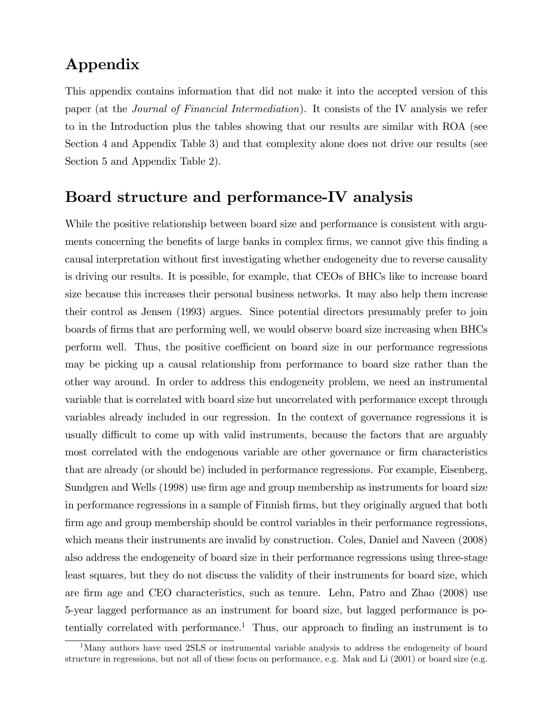# Appendix

This appendix contains information that did not make it into the accepted version of this paper (at the Journal of Financial Intermediation). It consists of the IV analysis we refer to in the Introduction plus the tables showing that our results are similar with ROA (see Section 4 and Appendix Table 3) and that complexity alone does not drive our results (see Section 5 and Appendix Table 2).

# Board structure and performance-IV analysis

While the positive relationship between board size and performance is consistent with arguments concerning the benefits of large banks in complex firms, we cannot give this finding a causal interpretation without first investigating whether endogeneity due to reverse causality is driving our results. It is possible, for example, that CEOs of BHCs like to increase board size because this increases their personal business networks. It may also help them increase their control as Jensen (1993) argues. Since potential directors presumably prefer to join boards of Örms that are performing well, we would observe board size increasing when BHCs perform well. Thus, the positive coefficient on board size in our performance regressions may be picking up a causal relationship from performance to board size rather than the other way around. In order to address this endogeneity problem, we need an instrumental variable that is correlated with board size but uncorrelated with performance except through variables already included in our regression. In the context of governance regressions it is usually difficult to come up with valid instruments, because the factors that are arguably most correlated with the endogenous variable are other governance or firm characteristics that are already (or should be) included in performance regressions. For example, Eisenberg, Sundgren and Wells (1998) use firm age and group membership as instruments for board size in performance regressions in a sample of Finnish firms, but they originally argued that both firm age and group membership should be control variables in their performance regressions, which means their instruments are invalid by construction. Coles, Daniel and Naveen (2008) also address the endogeneity of board size in their performance regressions using three-stage least squares, but they do not discuss the validity of their instruments for board size, which are Örm age and CEO characteristics, such as tenure. Lehn, Patro and Zhao (2008) use 5-year lagged performance as an instrument for board size, but lagged performance is potentially correlated with performance.<sup>1</sup> Thus, our approach to finding an instrument is to

<sup>&</sup>lt;sup>1</sup>Many authors have used 2SLS or instrumental variable analysis to address the endogeneity of board structure in regressions, but not all of these focus on performance, e.g. Mak and Li (2001) or board size (e.g.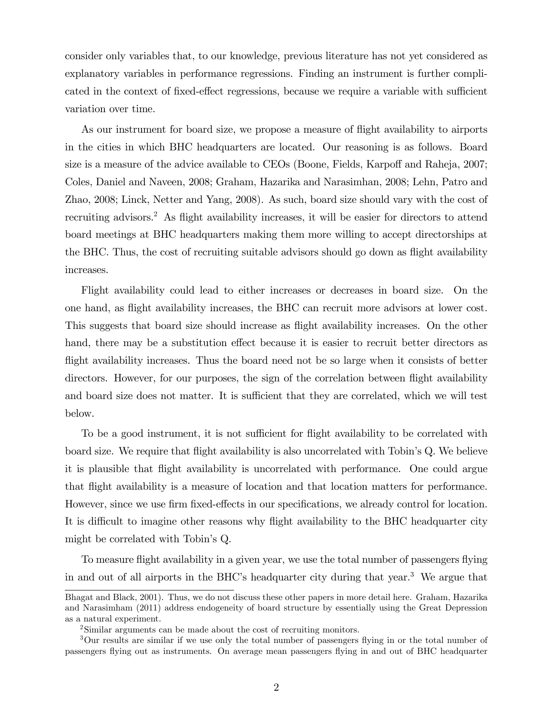consider only variables that, to our knowledge, previous literature has not yet considered as explanatory variables in performance regressions. Finding an instrument is further complicated in the context of fixed-effect regressions, because we require a variable with sufficient variation over time.

As our instrument for board size, we propose a measure of flight availability to airports in the cities in which BHC headquarters are located. Our reasoning is as follows. Board size is a measure of the advice available to CEOs (Boone, Fields, Karpoff and Raheja, 2007; Coles, Daniel and Naveen, 2008; Graham, Hazarika and Narasimhan, 2008; Lehn, Patro and Zhao, 2008; Linck, Netter and Yang, 2008). As such, board size should vary with the cost of recruiting advisors.<sup>2</sup> As flight availability increases, it will be easier for directors to attend board meetings at BHC headquarters making them more willing to accept directorships at the BHC. Thus, the cost of recruiting suitable advisors should go down as flight availability increases.

Flight availability could lead to either increases or decreases in board size. On the one hand, as áight availability increases, the BHC can recruit more advisors at lower cost. This suggests that board size should increase as flight availability increases. On the other hand, there may be a substitution effect because it is easier to recruit better directors as flight availability increases. Thus the board need not be so large when it consists of better directors. However, for our purposes, the sign of the correlation between flight availability and board size does not matter. It is sufficient that they are correlated, which we will test below.

To be a good instrument, it is not sufficient for flight availability to be correlated with board size. We require that flight availability is also uncorrelated with Tobin's Q. We believe it is plausible that áight availability is uncorrelated with performance. One could argue that flight availability is a measure of location and that location matters for performance. However, since we use firm fixed-effects in our specifications, we already control for location. It is difficult to imagine other reasons why flight availability to the BHC headquarter city might be correlated with Tobin's Q.

To measure flight availability in a given year, we use the total number of passengers flying in and out of all airports in the BHC's headquarter city during that year.<sup>3</sup> We argue that

Bhagat and Black, 2001). Thus, we do not discuss these other papers in more detail here. Graham, Hazarika and Narasimham (2011) address endogeneity of board structure by essentially using the Great Depression as a natural experiment.

<sup>2</sup>Similar arguments can be made about the cost of recruiting monitors.

<sup>&</sup>lt;sup>3</sup>Our results are similar if we use only the total number of passengers flying in or the total number of passengers áying out as instruments. On average mean passengers áying in and out of BHC headquarter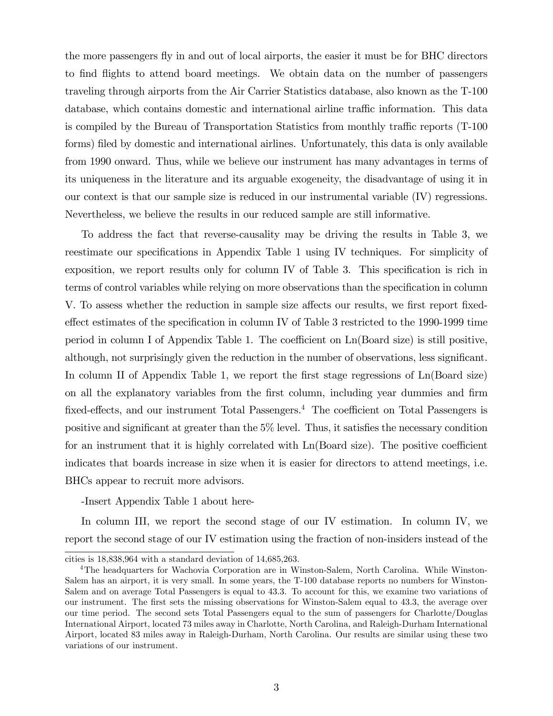the more passengers áy in and out of local airports, the easier it must be for BHC directors to find flights to attend board meetings. We obtain data on the number of passengers traveling through airports from the Air Carrier Statistics database, also known as the T-100 database, which contains domestic and international airline traffic information. This data is compiled by the Bureau of Transportation Statistics from monthly traffic reports (T-100) forms) filed by domestic and international airlines. Unfortunately, this data is only available from 1990 onward. Thus, while we believe our instrument has many advantages in terms of its uniqueness in the literature and its arguable exogeneity, the disadvantage of using it in our context is that our sample size is reduced in our instrumental variable (IV) regressions. Nevertheless, we believe the results in our reduced sample are still informative.

To address the fact that reverse-causality may be driving the results in Table 3, we reestimate our specifications in Appendix Table 1 using IV techniques. For simplicity of exposition, we report results only for column IV of Table 3. This specification is rich in terms of control variables while relying on more observations than the specification in column V. To assess whether the reduction in sample size affects our results, we first report fixedeffect estimates of the specification in column IV of Table 3 restricted to the  $1990-1999$  time period in column I of Appendix Table 1. The coefficient on  $Ln(Board size)$  is still positive, although, not surprisingly given the reduction in the number of observations, less significant. In column II of Appendix Table 1, we report the first stage regressions of Ln(Board size) on all the explanatory variables from the first column, including year dummies and firm fixed-effects, and our instrument Total Passengers.<sup>4</sup> The coefficient on Total Passengers is positive and significant at greater than the  $5\%$  level. Thus, it satisfies the necessary condition for an instrument that it is highly correlated with  $Ln(Board size)$ . The positive coefficient indicates that boards increase in size when it is easier for directors to attend meetings, i.e. BHCs appear to recruit more advisors.

-Insert Appendix Table 1 about here-

In column III, we report the second stage of our IV estimation. In column IV, we report the second stage of our IV estimation using the fraction of non-insiders instead of the

cities is 18,838,964 with a standard deviation of 14,685,263.

<sup>4</sup>The headquarters for Wachovia Corporation are in Winston-Salem, North Carolina. While Winston-Salem has an airport, it is very small. In some years, the T-100 database reports no numbers for Winston-Salem and on average Total Passengers is equal to 43.3. To account for this, we examine two variations of our instrument. The first sets the missing observations for Winston-Salem equal to 43.3, the average over our time period. The second sets Total Passengers equal to the sum of passengers for Charlotte/Douglas International Airport, located 73 miles away in Charlotte, North Carolina, and Raleigh-Durham International Airport, located 83 miles away in Raleigh-Durham, North Carolina. Our results are similar using these two variations of our instrument.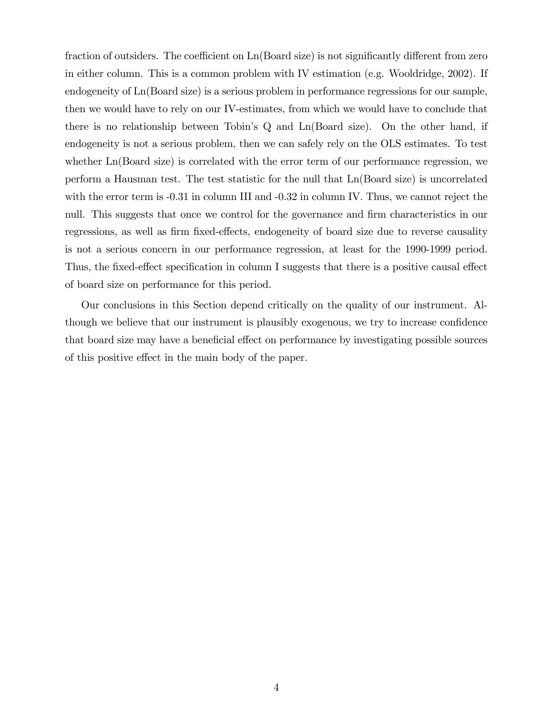fraction of outsiders. The coefficient on  $Ln(Board size)$  is not significantly different from zero in either column. This is a common problem with IV estimation (e.g. Wooldridge, 2002). If endogeneity of Ln(Board size) is a serious problem in performance regressions for our sample, then we would have to rely on our IV-estimates, from which we would have to conclude that there is no relationship between Tobinís Q and Ln(Board size). On the other hand, if endogeneity is not a serious problem, then we can safely rely on the OLS estimates. To test whether Ln(Board size) is correlated with the error term of our performance regression, we perform a Hausman test. The test statistic for the null that Ln(Board size) is uncorrelated with the error term is  $-0.31$  in column III and  $-0.32$  in column IV. Thus, we cannot reject the null. This suggests that once we control for the governance and firm characteristics in our regressions, as well as firm fixed-effects, endogeneity of board size due to reverse causality is not a serious concern in our performance regression, at least for the 1990-1999 period. Thus, the fixed-effect specification in column I suggests that there is a positive causal effect of board size on performance for this period.

Our conclusions in this Section depend critically on the quality of our instrument. Although we believe that our instrument is plausibly exogenous, we try to increase confidence that board size may have a beneficial effect on performance by investigating possible sources of this positive effect in the main body of the paper.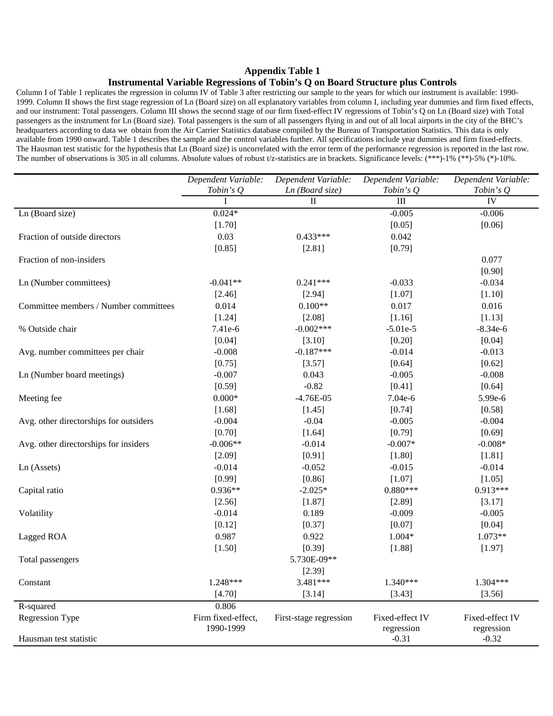### **Appendix Table 1 Instrumental Variable Regressions of Tobin's Q on Board Structure plus Controls**

Column I of Table 1 replicates the regression in column IV of Table 3 after restricting our sample to the years for which our instrument is available: 1990- 1999. Column II shows the first stage regression of Ln (Board size) on all explanatory variables from column I, including year dummies and firm fixed effects, and our instrument: Total passengers. Column III shows the second stage of our firm fixed-effect IV regressions of Tobin's Q on Ln (Board size) with Total passengers as the instrument for Ln (Board size). Total passengers is the sum of all passengers flying in and out of all local airports in the city of the BHC's headquarters according to data we obtain from the Air Carrier Statistics database compiled by the Bureau of Transportation Statistics. This data is only available from 1990 onward. Table 1 describes the sample and the control variables further. All specifications include year dummies and firm fixed-effects. The Hausman test statistic for the hypothesis that Ln (Board size) is uncorrelated with the error term of the performance regression is reported in the last row. The number of observations is 305 in all columns. Absolute values of robust t/z-statistics are in brackets. Significance levels:  $(***-1\% (**)-5\% (*)-10\%$ .

|                                        | Dependent Variable:             | Dependent Variable:    | Dependent Variable:           | Dependent Variable:           |
|----------------------------------------|---------------------------------|------------------------|-------------------------------|-------------------------------|
|                                        | Tobin's Q                       | Ln (Board size)        | Tobin's Q                     | Tobin's $Q$                   |
|                                        | I                               | П                      | III                           | IV                            |
| Ln (Board size)                        | $0.024*$                        |                        | $-0.005$                      | $-0.006$                      |
|                                        | [1.70]                          |                        | [0.05]                        | [0.06]                        |
| Fraction of outside directors          | 0.03                            | $0.433***$             | 0.042                         |                               |
|                                        | [0.85]                          | [2.81]                 | [0.79]                        |                               |
| Fraction of non-insiders               |                                 |                        |                               | 0.077                         |
|                                        |                                 |                        |                               | [0.90]                        |
| Ln (Number committees)                 | $-0.041**$                      | $0.241***$             | $-0.033$                      | $-0.034$                      |
|                                        | [2.46]                          | [2.94]                 | [1.07]                        | [1.10]                        |
| Committee members / Number committees  | 0.014                           | $0.100**$              | 0.017                         | 0.016                         |
|                                        | [1.24]                          | [2.08]                 | [1.16]                        | [1.13]                        |
| % Outside chair                        | 7.41e-6                         | $-0.002***$            | $-5.01e-5$                    | $-8.34e-6$                    |
|                                        | [0.04]                          | [3.10]                 | [0.20]                        | [0.04]                        |
| Avg. number committees per chair       | $-0.008$                        | $-0.187***$            | $-0.014$                      | $-0.013$                      |
|                                        | [0.75]                          | [3.57]                 | [0.64]                        | [0.62]                        |
| Ln (Number board meetings)             | $-0.007$                        | 0.043                  | $-0.005$                      | $-0.008$                      |
|                                        | [0.59]                          | $-0.82$                | [0.41]                        | [0.64]                        |
| Meeting fee                            | $0.000*$                        | $-4.76E-05$            | 7.04e-6                       | 5.99e-6                       |
|                                        | [1.68]                          | [1.45]                 | [0.74]                        | [0.58]                        |
| Avg. other directorships for outsiders | $-0.004$                        | $-0.04$                | $-0.005$                      | $-0.004$                      |
|                                        | [0.70]                          | [1.64]                 | [0.79]                        | [0.69]                        |
| Avg. other directorships for insiders  | $-0.006**$                      | $-0.014$               | $-0.007*$                     | $-0.008*$                     |
|                                        | [2.09]                          | [0.91]                 | [1.80]                        | [1.81]                        |
| Ln (Assets)                            | $-0.014$                        | $-0.052$               | $-0.015$                      | $-0.014$                      |
|                                        | [0.99]                          | [0.86]                 | [1.07]                        | [1.05]                        |
| Capital ratio                          | $0.936**$                       | $-2.025*$              | $0.880***$                    | $0.913***$                    |
|                                        | [2.56]                          | [1.87]                 | [2.89]                        | [3.17]                        |
| Volatility                             | $-0.014$                        | 0.189                  | $-0.009$                      | $-0.005$                      |
|                                        | [0.12]                          | [0.37]                 | [0.07]                        | [0.04]                        |
| Lagged ROA                             | 0.987                           | 0.922                  | $1.004*$                      | 1.073**                       |
|                                        | [1.50]                          | [0.39]                 | [1.88]                        | [1.97]                        |
| Total passengers                       |                                 | 5.730E-09**            |                               |                               |
|                                        |                                 | [2.39]                 |                               |                               |
| Constant                               | 1.248***                        | 3.481***               | $1.340***$                    | $1.304***$                    |
|                                        | [4.70]                          | [3.14]                 | [3.43]                        | [3.56]                        |
| R-squared                              | 0.806                           |                        |                               |                               |
| Regression Type                        | Firm fixed-effect,<br>1990-1999 | First-stage regression | Fixed-effect IV<br>regression | Fixed-effect IV<br>regression |
| Hausman test statistic                 |                                 |                        | $-0.31$                       | $-0.32$                       |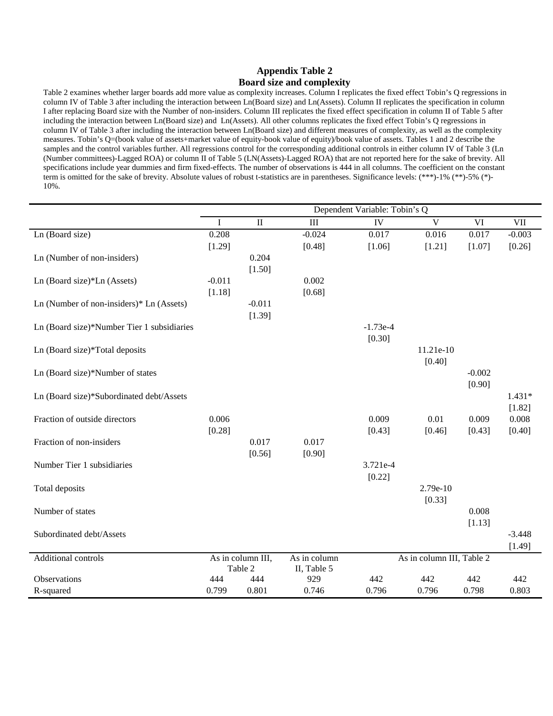### **Appendix Table 2 Board size and complexity**

Table 2 examines whether larger boards add more value as complexity increases. Column I replicates the fixed effect Tobin's Q regressions in column IV of Table 3 after including the interaction between Ln(Board size) and Ln(Assets). Column II replicates the specification in column I after replacing Board size with the Number of non-insiders. Column III replicates the fixed effect specification in column II of Table 5 after including the interaction between Ln(Board size) and Ln(Assets). All other columns replicates the fixed effect Tobin's Q regressions in column IV of Table 3 after including the interaction between Ln(Board size) and different measures of complexity, as well as the complexity measures. Tobin's Q=(book value of assets+market value of equity-book value of equity)/book value of assets. Tables 1 and 2 describe the samples and the control variables further. All regressions control for the corresponding additional controls in either column IV of Table 3 (Ln (Number committees)-Lagged ROA) or column II of Table 5 (LN(Assets)-Lagged ROA) that are not reported here for the sake of brevity. All specifications include year dummies and firm fixed-effects. The number of observations is 444 in all columns. The coefficient on the constant term is omitted for the sake of brevity. Absolute values of robust t-statistics are in parentheses. Significance levels: (\*\*\*)-1% (\*\*)-5% (\*)-10%.

|                                            | Dependent Variable: Tobin's Q |                   |              |            |                           |          |            |  |
|--------------------------------------------|-------------------------------|-------------------|--------------|------------|---------------------------|----------|------------|--|
|                                            | I                             | $\rm II$          | III          | IV         | V                         | VI       | <b>VII</b> |  |
| Ln (Board size)                            | 0.208                         |                   | $-0.024$     | 0.017      | 0.016                     | 0.017    | $-0.003$   |  |
|                                            | [1.29]                        |                   | [0.48]       | [1.06]     | [1.21]                    | [1.07]   | [0.26]     |  |
| Ln (Number of non-insiders)                |                               | 0.204             |              |            |                           |          |            |  |
|                                            |                               | [1.50]            |              |            |                           |          |            |  |
| Ln (Board size)*Ln (Assets)                | $-0.011$                      |                   | 0.002        |            |                           |          |            |  |
|                                            | [1.18]                        |                   | [0.68]       |            |                           |          |            |  |
| Ln (Number of non-insiders)* Ln (Assets)   |                               | $-0.011$          |              |            |                           |          |            |  |
|                                            |                               | [1.39]            |              |            |                           |          |            |  |
| Ln (Board size)*Number Tier 1 subsidiaries |                               |                   |              | $-1.73e-4$ |                           |          |            |  |
|                                            |                               |                   |              | [0.30]     |                           |          |            |  |
| Ln (Board size)*Total deposits             |                               |                   |              |            | 11.21e-10                 |          |            |  |
|                                            |                               |                   |              |            | [0.40]                    |          |            |  |
| Ln (Board size)*Number of states           |                               |                   |              |            |                           | $-0.002$ |            |  |
|                                            |                               |                   |              |            |                           | [0.90]   |            |  |
| Ln (Board size)*Subordinated debt/Assets   |                               |                   |              |            |                           |          | $1.431*$   |  |
|                                            |                               |                   |              |            |                           |          | [1.82]     |  |
| Fraction of outside directors              | 0.006                         |                   |              | 0.009      | 0.01                      | 0.009    | 0.008      |  |
|                                            | [0.28]                        |                   |              | [0.43]     | [0.46]                    | [0.43]   | [0.40]     |  |
| Fraction of non-insiders                   |                               | 0.017             | 0.017        |            |                           |          |            |  |
|                                            |                               | [0.56]            | [0.90]       |            |                           |          |            |  |
| Number Tier 1 subsidiaries                 |                               |                   |              | 3.721e-4   |                           |          |            |  |
|                                            |                               |                   |              | [0.22]     |                           |          |            |  |
| Total deposits                             |                               |                   |              |            | $2.79e-10$                |          |            |  |
|                                            |                               |                   |              |            | [0.33]                    |          |            |  |
| Number of states                           |                               |                   |              |            |                           | 0.008    |            |  |
|                                            |                               |                   |              |            |                           | [1.13]   |            |  |
| Subordinated debt/Assets                   |                               |                   |              |            |                           |          | $-3.448$   |  |
|                                            |                               |                   |              |            |                           |          | [1.49]     |  |
| Additional controls                        |                               | As in column III, | As in column |            | As in column III, Table 2 |          |            |  |
|                                            |                               | Table 2           | II, Table 5  |            |                           |          |            |  |
| Observations                               | 444                           | 444               | 929          | 442        | 442                       | 442      | 442        |  |
| R-squared                                  | 0.799                         | 0.801             | 0.746        | 0.796      | 0.796                     | 0.798    | 0.803      |  |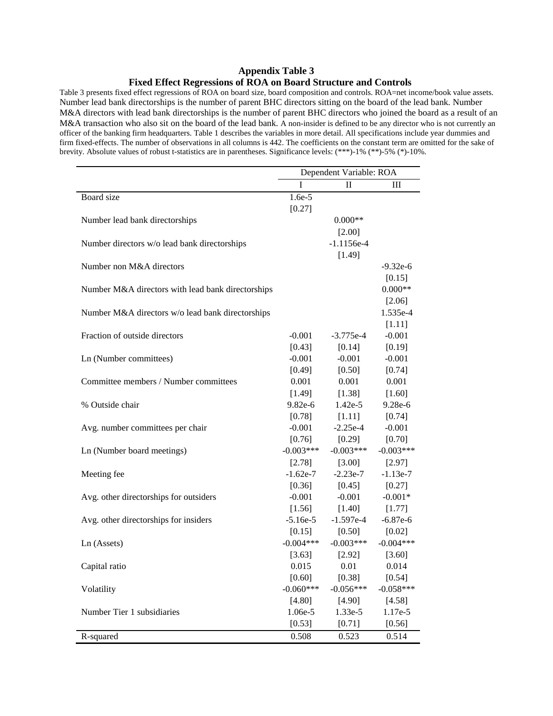### **Appendix Table 3 Fixed Effect Regressions of ROA on Board Structure and Controls**

Table 3 presents fixed effect regressions of ROA on board size, board composition and controls. ROA=net income/book value assets. Number lead bank directorships is the number of parent BHC directors sitting on the board of the lead bank. Number M&A directors with lead bank directorships is the number of parent BHC directors who joined the board as a result of an M&A transaction who also sit on the board of the lead bank. A non-insider is defined to be any director who is not currently an officer of the banking firm headquarters. Table 1 describes the variables in more detail. All specifications include year dummies and firm fixed-effects. The number of observations in all columns is 442. The coefficients on the constant term are omitted for the sake of brevity. Absolute values of robust t-statistics are in parentheses. Significance levels: (\*\*\*)-1% (\*\*)-5% (\*)-10%.

|                                                   |             | Dependent Variable: ROA |             |
|---------------------------------------------------|-------------|-------------------------|-------------|
|                                                   | I           | П                       | Ш           |
| Board size                                        | 1.6e-5      |                         |             |
|                                                   | [0.27]      |                         |             |
| Number lead bank directorships                    |             | $0.000**$               |             |
|                                                   |             | [2.00]                  |             |
| Number directors w/o lead bank directorships      |             | $-1.1156e-4$            |             |
|                                                   |             | [1.49]                  |             |
| Number non M&A directors                          |             |                         | $-9.32e-6$  |
|                                                   |             |                         | [0.15]      |
| Number M&A directors with lead bank directorships |             |                         | $0.000**$   |
|                                                   |             |                         | [2.06]      |
| Number M&A directors w/o lead bank directorships  |             |                         | 1.535e-4    |
|                                                   |             |                         | [1.11]      |
| Fraction of outside directors                     | $-0.001$    | $-3.775e-4$             | $-0.001$    |
|                                                   | [0.43]      | [0.14]                  | [0.19]      |
| Ln (Number committees)                            | $-0.001$    | $-0.001$                | $-0.001$    |
|                                                   | [0.49]      | [0.50]                  | [0.74]      |
| Committee members / Number committees             | 0.001       | 0.001                   | 0.001       |
|                                                   | [1.49]      | [1.38]                  | [1.60]      |
| % Outside chair                                   | $9.82e-6$   | 1.42e-5                 | 9.28e-6     |
|                                                   | [0.78]      | [1.11]                  | [0.74]      |
| Avg. number committees per chair                  | $-0.001$    | $-2.25e-4$              | $-0.001$    |
|                                                   | [0.76]      | [0.29]                  | [0.70]      |
| Ln (Number board meetings)                        | $-0.003***$ | $-0.003***$             | $-0.003***$ |
|                                                   | [2.78]      | [3.00]                  | [2.97]      |
| Meeting fee                                       | $-1.62e-7$  | $-2.23e-7$              | $-1.13e-7$  |
|                                                   | [0.36]      | [0.45]                  | [0.27]      |
| Avg. other directorships for outsiders            | $-0.001$    | $-0.001$                | $-0.001*$   |
|                                                   | [1.56]      | [1.40]                  | [1.77]      |
| Avg. other directorships for insiders             | $-5.16e-5$  | $-1.597e-4$             | $-6.87e-6$  |
|                                                   | [0.15]      | [0.50]                  | [0.02]      |
| Ln (Assets)                                       | $-0.004***$ | $-0.003***$             | $-0.004***$ |
|                                                   | [3.63]      | [2.92]                  | [3.60]      |
| Capital ratio                                     | 0.015       | 0.01                    | 0.014       |
|                                                   | [0.60]      | [0.38]                  | [0.54]      |
| Volatility                                        | $-0.060***$ | $-0.056***$             | $-0.058***$ |
|                                                   | [4.80]      | [4.90]                  | [4.58]      |
| Number Tier 1 subsidiaries                        | 1.06e-5     | 1.33e-5                 | 1.17e-5     |
|                                                   | [0.53]      | [0.71]                  | [0.56]      |
| R-squared                                         | 0.508       | 0.523                   | 0.514       |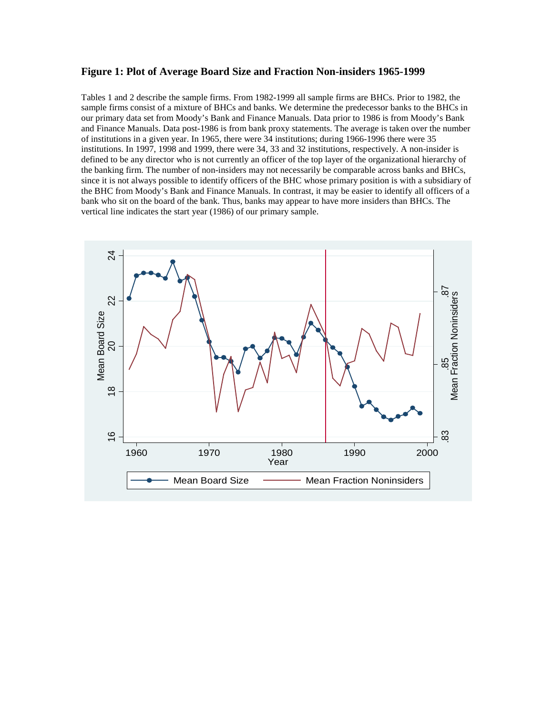### **Figure 1: Plot of Average Board Size and Fraction Non-insiders 1965-1999**

Tables 1 and 2 describe the sample firms. From 1982-1999 all sample firms are BHCs. Prior to 1982, the sample firms consist of a mixture of BHCs and banks. We determine the predecessor banks to the BHCs in our primary data set from Moody's Bank and Finance Manuals. Data prior to 1986 is from Moody's Bank and Finance Manuals. Data post-1986 is from bank proxy statements. The average is taken over the number of institutions in a given year. In 1965, there were 34 institutions; during 1966-1996 there were 35 institutions. In 1997, 1998 and 1999, there were 34, 33 and 32 institutions, respectively. A non-insider is defined to be any director who is not currently an officer of the top layer of the organizational hierarchy of the banking firm. The number of non-insiders may not necessarily be comparable across banks and BHCs, since it is not always possible to identify officers of the BHC whose primary position is with a subsidiary of the BHC from Moody's Bank and Finance Manuals. In contrast, it may be easier to identify all officers of a bank who sit on the board of the bank. Thus, banks may appear to have more insiders than BHCs. The vertical line indicates the start year (1986) of our primary sample.

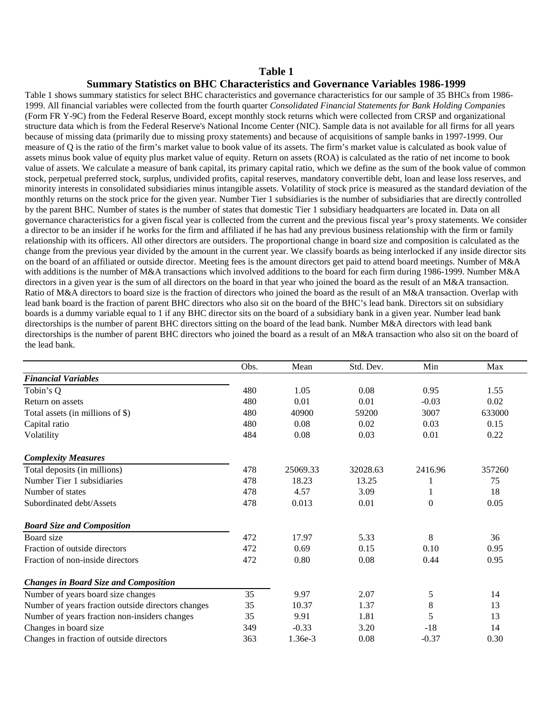### **Table 1**

### **Summary Statistics on BHC Characteristics and Governance Variables 1986-1999**

Table 1 shows summary statistics for select BHC characteristics and governance characteristics for our sample of 35 BHCs from 1986- 1999. All financial variables were collected from the fourth quarter *Consolidated Financial Statements for Bank Holding Companies* (Form FR Y-9C) from the Federal Reserve Board, except monthly stock returns which were collected from CRSP and organizational structure data which is from the Federal Reserve's National Income Center (NIC). Sample data is not available for all firms for all years because of missing data (primarily due to missing proxy statements) and because of acquisitions of sample banks in 1997-1999. Our measure of Q is the ratio of the firm's market value to book value of its assets. The firm's market value is calculated as book value of assets minus book value of equity plus market value of equity. Return on assets (ROA) is calculated as the ratio of net income to book value of assets. We calculate a measure of bank capital, its primary capital ratio, which we define as the sum of the book value of common stock, perpetual preferred stock, surplus, undivided profits, capital reserves, mandatory convertible debt, loan and lease loss reserves, and minority interests in consolidated subsidiaries minus intangible assets. Volatility of stock price is measured as the standard deviation of the monthly returns on the stock price for the given year. Number Tier 1 subsidiaries is the number of subsidiaries that are directly controlled by the parent BHC. Number of states is the number of states that domestic Tier 1 subsidiary headquarters are located in. Data on all governance characteristics for a given fiscal year is collected from the current and the previous fiscal year's proxy statements. We consider a director to be an insider if he works for the firm and affiliated if he has had any previous business relationship with the firm or family relationship with its officers. All other directors are outsiders. The proportional change in board size and composition is calculated as the change from the previous year divided by the amount in the current year. We classify boards as being interlocked if any inside director sits on the board of an affiliated or outside director. Meeting fees is the amount directors get paid to attend board meetings. Number of M&A with additions is the number of M&A transactions which involved additions to the board for each firm during 1986-1999. Number M&A directors in a given year is the sum of all directors on the board in that year who joined the board as the result of an M&A transaction. Ratio of M&A directors to board size is the fraction of directors who joined the board as the result of an M&A transaction. Overlap with lead bank board is the fraction of parent BHC directors who also sit on the board of the BHC's lead bank. Directors sit on subsidiary boards is a dummy variable equal to 1 if any BHC director sits on the board of a subsidiary bank in a given year. Number lead bank directorships is the number of parent BHC directors sitting on the board of the lead bank. Number M&A directors with lead bank directorships is the number of parent BHC directors who joined the board as a result of an M&A transaction who also sit on the board of the lead bank.

|                                                    | Obs. | Mean     | Std. Dev. | Min          | Max    |
|----------------------------------------------------|------|----------|-----------|--------------|--------|
| <b>Financial Variables</b>                         |      |          |           |              |        |
| Tobin's Q                                          | 480  | 1.05     | 0.08      | 0.95         | 1.55   |
| Return on assets                                   | 480  | 0.01     | 0.01      | $-0.03$      | 0.02   |
| Total assets (in millions of \$)                   | 480  | 40900    | 59200     | 3007         | 633000 |
| Capital ratio                                      | 480  | 0.08     | 0.02      | 0.03         | 0.15   |
| Volatility                                         | 484  | 0.08     | 0.03      | 0.01         | 0.22   |
| <b>Complexity Measures</b>                         |      |          |           |              |        |
| Total deposits (in millions)                       | 478  | 25069.33 | 32028.63  | 2416.96      | 357260 |
| Number Tier 1 subsidiaries                         | 478  | 18.23    | 13.25     | 1            | 75     |
| Number of states                                   | 478  | 4.57     | 3.09      | 1            | 18     |
| Subordinated debt/Assets                           | 478  | 0.013    | 0.01      | $\mathbf{0}$ | 0.05   |
| <b>Board Size and Composition</b>                  |      |          |           |              |        |
| Board size                                         | 472  | 17.97    | 5.33      | 8            | 36     |
| Fraction of outside directors                      | 472  | 0.69     | 0.15      | 0.10         | 0.95   |
| Fraction of non-inside directors                   | 472  | 0.80     | 0.08      | 0.44         | 0.95   |
| <b>Changes in Board Size and Composition</b>       |      |          |           |              |        |
| Number of years board size changes                 | 35   | 9.97     | 2.07      | 5            | 14     |
| Number of years fraction outside directors changes | 35   | 10.37    | 1.37      | 8            | 13     |
| Number of years fraction non-insiders changes      | 35   | 9.91     | 1.81      | 5            | 13     |
| Changes in board size                              | 349  | $-0.33$  | 3.20      | $-18$        | 14     |
| Changes in fraction of outside directors           | 363  | 1.36e-3  | 0.08      | $-0.37$      | 0.30   |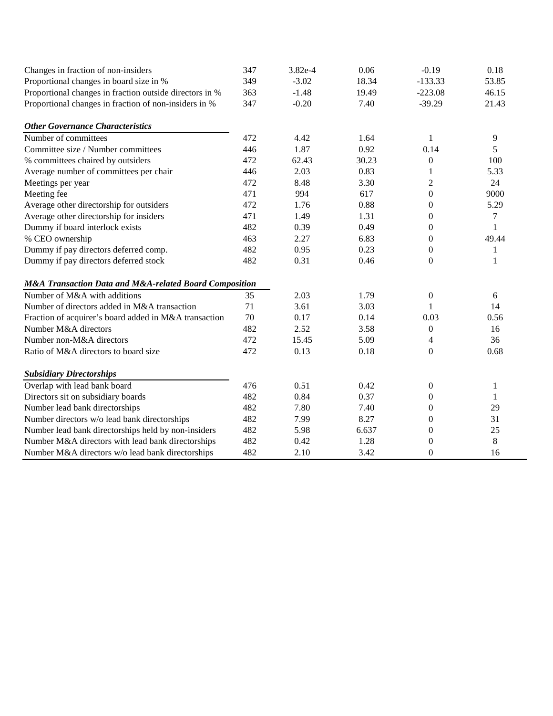| Changes in fraction of non-insiders                     | 347 | 3.82e-4 | 0.06  | $-0.19$          | 0.18         |
|---------------------------------------------------------|-----|---------|-------|------------------|--------------|
| Proportional changes in board size in %                 | 349 | $-3.02$ | 18.34 | $-133.33$        | 53.85        |
| Proportional changes in fraction outside directors in % | 363 | $-1.48$ | 19.49 | $-223.08$        | 46.15        |
| Proportional changes in fraction of non-insiders in %   | 347 | $-0.20$ | 7.40  | $-39.29$         | 21.43        |
| <b>Other Governance Characteristics</b>                 |     |         |       |                  |              |
| Number of committees                                    | 472 | 4.42    | 1.64  | 1                | 9            |
| Committee size / Number committees                      | 446 | 1.87    | 0.92  | 0.14             | 5            |
| % committees chaired by outsiders                       | 472 | 62.43   | 30.23 | $\boldsymbol{0}$ | 100          |
| Average number of committees per chair                  | 446 | 2.03    | 0.83  | 1                | 5.33         |
| Meetings per year                                       | 472 | 8.48    | 3.30  | $\overline{c}$   | 24           |
| Meeting fee                                             | 471 | 994     | 617   | $\boldsymbol{0}$ | 9000         |
| Average other directorship for outsiders                | 472 | 1.76    | 0.88  | $\boldsymbol{0}$ | 5.29         |
| Average other directorship for insiders                 | 471 | 1.49    | 1.31  | $\theta$         | 7            |
| Dummy if board interlock exists                         | 482 | 0.39    | 0.49  | $\theta$         | $\mathbf{1}$ |
| % CEO ownership                                         | 463 | 2.27    | 6.83  | $\theta$         | 49.44        |
| Dummy if pay directors deferred comp.                   | 482 | 0.95    | 0.23  | $\boldsymbol{0}$ | 1            |
| Dummy if pay directors deferred stock                   | 482 | 0.31    | 0.46  | $\boldsymbol{0}$ | 1            |
| M&A Transaction Data and M&A-related Board Composition  |     |         |       |                  |              |
| Number of M&A with additions                            | 35  | 2.03    | 1.79  | $\boldsymbol{0}$ | 6            |
| Number of directors added in M&A transaction            | 71  | 3.61    | 3.03  | 1                | 14           |
| Fraction of acquirer's board added in M&A transaction   | 70  | 0.17    | 0.14  | 0.03             | 0.56         |
| Number M&A directors                                    | 482 | 2.52    | 3.58  | $\boldsymbol{0}$ | 16           |
| Number non-M&A directors                                | 472 | 15.45   | 5.09  | 4                | 36           |
| Ratio of M&A directors to board size                    | 472 | 0.13    | 0.18  | $\boldsymbol{0}$ | 0.68         |
| <b>Subsidiary Directorships</b>                         |     |         |       |                  |              |
| Overlap with lead bank board                            | 476 | 0.51    | 0.42  | $\mathbf{0}$     | 1            |
| Directors sit on subsidiary boards                      | 482 | 0.84    | 0.37  | $\theta$         | 1            |
| Number lead bank directorships                          | 482 | 7.80    | 7.40  | $\theta$         | 29           |
| Number directors w/o lead bank directorships            | 482 | 7.99    | 8.27  | $\theta$         | 31           |
| Number lead bank directorships held by non-insiders     | 482 | 5.98    | 6.637 | $\theta$         | 25           |
| Number M&A directors with lead bank directorships       | 482 | 0.42    | 1.28  | $\overline{0}$   | 8            |
| Number M&A directors w/o lead bank directorships        | 482 | 2.10    | 3.42  | $\boldsymbol{0}$ | 16           |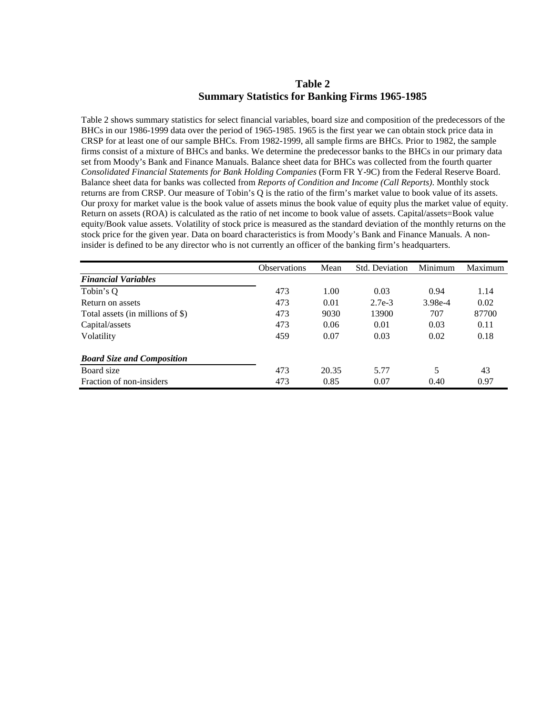## **Table 2 Summary Statistics for Banking Firms 1965-1985**

Table 2 shows summary statistics for select financial variables, board size and composition of the predecessors of the BHCs in our 1986-1999 data over the period of 1965-1985. 1965 is the first year we can obtain stock price data in CRSP for at least one of our sample BHCs. From 1982-1999, all sample firms are BHCs. Prior to 1982, the sample firms consist of a mixture of BHCs and banks. We determine the predecessor banks to the BHCs in our primary data set from Moody's Bank and Finance Manuals. Balance sheet data for BHCs was collected from the fourth quarter *Consolidated Financial Statements for Bank Holding Companies* (Form FR Y-9C) from the Federal Reserve Board. Balance sheet data for banks was collected from *Reports of Condition and Income (Call Reports)*. Monthly stock returns are from CRSP. Our measure of Tobin's Q is the ratio of the firm's market value to book value of its assets. Our proxy for market value is the book value of assets minus the book value of equity plus the market value of equity. Return on assets (ROA) is calculated as the ratio of net income to book value of assets. Capital/assets=Book value equity/Book value assets. Volatility of stock price is measured as the standard deviation of the monthly returns on the stock price for the given year. Data on board characteristics is from Moody's Bank and Finance Manuals. A noninsider is defined to be any director who is not currently an officer of the banking firm's headquarters.

|                                   | <b>Observations</b> | Mean  | Std. Deviation | Minimum | Maximum |
|-----------------------------------|---------------------|-------|----------------|---------|---------|
| <b>Financial Variables</b>        |                     |       |                |         |         |
| Tobin's Q                         | 473                 | 1.00  | 0.03           | 0.94    | 1.14    |
| Return on assets                  | 473                 | 0.01  | $2.7e-3$       | 3.98e-4 | 0.02    |
| Total assets (in millions of \$)  | 473                 | 9030  | 13900          | 707     | 87700   |
| Capital/assets                    | 473                 | 0.06  | 0.01           | 0.03    | 0.11    |
| Volatility                        | 459                 | 0.07  | 0.03           | 0.02    | 0.18    |
| <b>Board Size and Composition</b> |                     |       |                |         |         |
| Board size                        | 473                 | 20.35 | 5.77           | 5       | 43      |
| Fraction of non-insiders          | 473                 | 0.85  | 0.07           | 0.40    | 0.97    |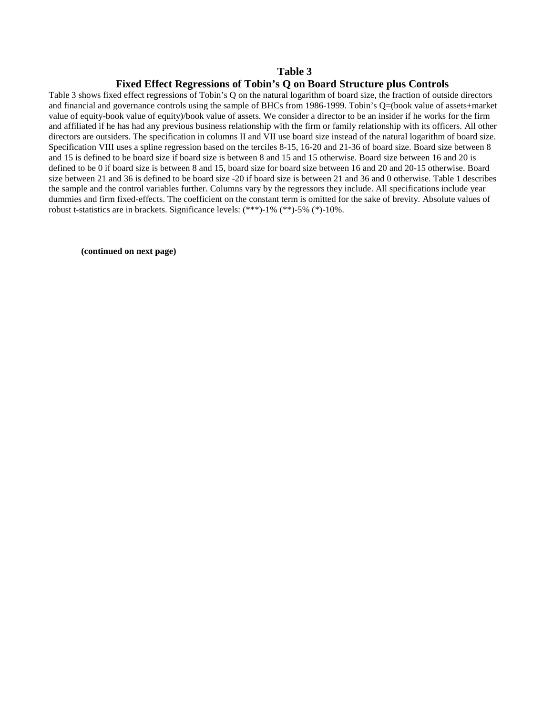### **Table 3 Fixed Effect Regressions of Tobin's Q on Board Structure plus Controls**

Table 3 shows fixed effect regressions of Tobin's Q on the natural logarithm of board size, the fraction of outside directors and financial and governance controls using the sample of BHCs from 1986-1999. Tobin's Q=(book value of assets+market value of equity-book value of equity)/book value of assets. We consider a director to be an insider if he works for the firm and affiliated if he has had any previous business relationship with the firm or family relationship with its officers. All other directors are outsiders. The specification in columns II and VII use board size instead of the natural logarithm of board size. Specification VIII uses a spline regression based on the terciles 8-15, 16-20 and 21-36 of board size. Board size between 8 and 15 is defined to be board size if board size is between 8 and 15 and 15 otherwise. Board size between 16 and 20 is defined to be 0 if board size is between 8 and 15, board size for board size between 16 and 20 and 20-15 otherwise. Board size between 21 and 36 is defined to be board size -20 if board size is between 21 and 36 and 0 otherwise. Table 1 describes the sample and the control variables further. Columns vary by the regressors they include. All specifications include year dummies and firm fixed-effects. The coefficient on the constant term is omitted for the sake of brevity. Absolute values of robust t-statistics are in brackets. Significance levels: (\*\*\*)-1% (\*\*)-5% (\*)-10%.

**(continued on next page)**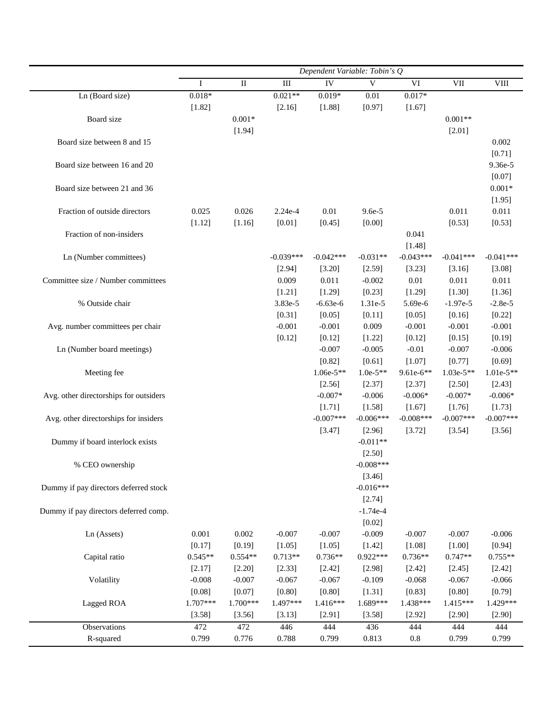|                                        |           |                         |                  | Dependent Variable: Tobin's Q |              |             |             |             |
|----------------------------------------|-----------|-------------------------|------------------|-------------------------------|--------------|-------------|-------------|-------------|
|                                        | I         | $\overline{\mathbf{u}}$ | $\overline{III}$ | <b>IV</b>                     | $\mathbf{V}$ | VI          | VII         | <b>VIII</b> |
| Ln (Board size)                        | $0.018*$  |                         | $0.021**$        | $0.019*$                      | $0.01\,$     | $0.017*$    |             |             |
|                                        | [1.82]    |                         | [2.16]           | [1.88]                        | [0.97]       | [1.67]      |             |             |
| Board size                             |           | $0.001*$                |                  |                               |              |             | $0.001**$   |             |
|                                        |           | [1.94]                  |                  |                               |              |             | [2.01]      |             |
| Board size between 8 and 15            |           |                         |                  |                               |              |             |             | 0.002       |
|                                        |           |                         |                  |                               |              |             |             | [0.71]      |
| Board size between 16 and 20           |           |                         |                  |                               |              |             |             | 9.36e-5     |
|                                        |           |                         |                  |                               |              |             |             | [0.07]      |
| Board size between 21 and 36           |           |                         |                  |                               |              |             |             | $0.001*$    |
|                                        |           |                         |                  |                               |              |             |             | [1.95]      |
| Fraction of outside directors          | 0.025     | 0.026                   | 2.24e-4          | 0.01                          | $9.6e-5$     |             | 0.011       | 0.011       |
|                                        | [1.12]    | [1.16]                  | [0.01]           | [0.45]                        | [0.00]       |             | [0.53]      | [0.53]      |
| Fraction of non-insiders               |           |                         |                  |                               |              | 0.041       |             |             |
|                                        |           |                         |                  |                               |              | [1.48]      |             |             |
| Ln (Number committees)                 |           |                         | $-0.039***$      | $-0.042***$                   | $-0.031**$   | $-0.043***$ | $-0.041***$ | $-0.041***$ |
|                                        |           |                         | [2.94]           | [3.20]                        | [2.59]       | [3.23]      | [3.16]      | [3.08]      |
| Committee size / Number committees     |           |                         | 0.009            | 0.011                         | $-0.002$     | $0.01\,$    | 0.011       | 0.011       |
|                                        |           |                         | [1.21]           | [1.29]                        | [0.23]       | [1.29]      | [1.30]      | [1.36]      |
| % Outside chair                        |           |                         | 3.83e-5          | $-6.63e-6$                    | 1.31e-5      | 5.69e-6     | $-1.97e-5$  | $-2.8e-5$   |
|                                        |           |                         | [0.31]           | [0.05]                        | [0.11]       | [0.05]      | [0.16]      | [0.22]      |
| Avg. number committees per chair       |           |                         | $-0.001$         | $-0.001$                      | 0.009        | $-0.001$    | $-0.001$    | $-0.001$    |
|                                        |           |                         | [0.12]           | [0.12]                        | [1.22]       | [0.12]      | [0.15]      | [0.19]      |
| Ln (Number board meetings)             |           |                         |                  | $-0.007$                      | $-0.005$     | $-0.01$     | $-0.007$    | $-0.006$    |
|                                        |           |                         |                  | [0.82]                        | [0.61]       | [1.07]      | [0.77]      | [0.69]      |
| Meeting fee                            |           |                         |                  | $1.06e-5**$                   | $1.0e-5**$   | 9.61e-6**   | $1.03e-5**$ | $1.01e-5**$ |
|                                        |           |                         |                  | [2.56]                        | [2.37]       | [2.37]      | [2.50]      | [2.43]      |
| Avg. other directorships for outsiders |           |                         |                  | $-0.007*$                     | $-0.006$     | $-0.006*$   | $-0.007*$   | $-0.006*$   |
|                                        |           |                         |                  | [1.71]                        | [1.58]       | $[1.67]$    | [1.76]      | [1.73]      |
| Avg. other directorships for insiders  |           |                         |                  | $-0.007***$                   | $-0.006***$  | $-0.008***$ | $-0.007***$ | $-0.007***$ |
|                                        |           |                         |                  | [3.47]                        | [2.96]       | [3.72]      | [3.54]      | [3.56]      |
| Dummy if board interlock exists        |           |                         |                  |                               | $-0.011**$   |             |             |             |
|                                        |           |                         |                  |                               | [2.50]       |             |             |             |
| % CEO ownership                        |           |                         |                  |                               | $-0.008***$  |             |             |             |
|                                        |           |                         |                  |                               | [3.46]       |             |             |             |
| Dummy if pay directors deferred stock  |           |                         |                  |                               | $-0.016***$  |             |             |             |
|                                        |           |                         |                  |                               | [2.74]       |             |             |             |
| Dummy if pay directors deferred comp.  |           |                         |                  |                               | $-1.74e-4$   |             |             |             |
|                                        |           |                         |                  |                               | [0.02]       |             |             |             |
| Ln (Assets)                            | 0.001     | 0.002                   | $-0.007$         | $-0.007$                      | $-0.009$     | $-0.007$    | $-0.007$    | $-0.006$    |
|                                        | [0.17]    | [0.19]                  | [1.05]           | [1.05]                        | [1.42]       | [1.08]      | [1.00]      | [0.94]      |
| Capital ratio                          | $0.545**$ | $0.554**$               | $0.713**$        | $0.736**$                     | $0.922***$   | $0.736**$   | $0.747**$   | $0.755**$   |
|                                        | [2.17]    | [2.20]                  | [2.33]           | [2.42]                        | [2.98]       | $[2.42]$    | [2.45]      | [2.42]      |
| Volatility                             | $-0.008$  | $-0.007$                | $-0.067$         | $-0.067$                      | $-0.109$     | $-0.068$    | $-0.067$    | $-0.066$    |
|                                        | [0.08]    | [0.07]                  | [0.80]           | [0.80]                        | [1.31]       | [0.83]      | [0.80]      | [0.79]      |
| Lagged ROA                             | 1.707***  | 1.700***                | 1.497***         | $1.416***$                    | 1.689***     | 1.438***    | $1.415***$  | 1.429***    |
|                                        | [3.58]    | [3.56]                  | [3.13]           | [2.91]                        | [3.58]       | [2.92]      | [2.90]      | [2.90]      |
| Observations                           | 472       | 472                     | 446              | 444                           | 436          | 444         | 444         | 444         |
| R-squared                              | 0.799     | 0.776                   | 0.788            | 0.799                         | 0.813        | $\rm 0.8$   | 0.799       | 0.799       |
|                                        |           |                         |                  |                               |              |             |             |             |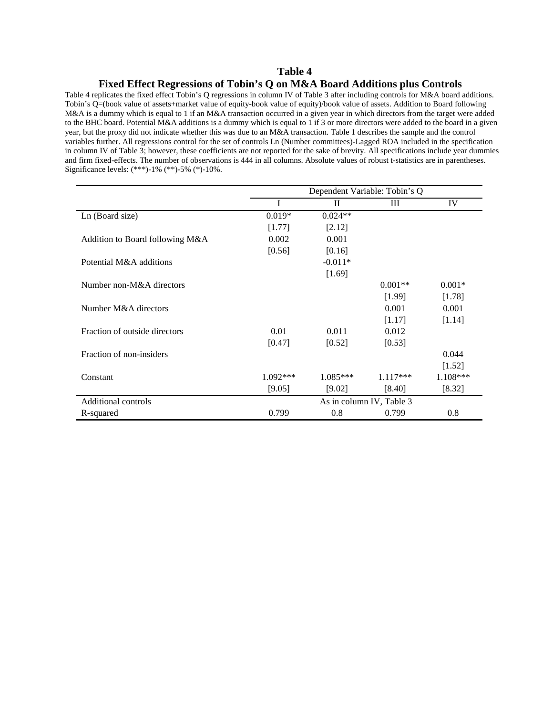## **Table 4 Fixed Effect Regressions of Tobin's Q on M&A Board Additions plus Controls**

Table 4 replicates the fixed effect Tobin's Q regressions in column IV of Table 3 after including controls for M&A board additions. Tobin's Q=(book value of assets+market value of equity-book value of equity)/book value of assets. Addition to Board following M&A is a dummy which is equal to 1 if an M&A transaction occurred in a given year in which directors from the target were added to the BHC board. Potential M&A additions is a dummy which is equal to 1 if 3 or more directors were added to the board in a given year, but the proxy did not indicate whether this was due to an M&A transaction. Table 1 describes the sample and the control variables further. All regressions control for the set of controls Ln (Number committees)-Lagged ROA included in the specification in column IV of Table 3; however, these coefficients are not reported for the sake of brevity. All specifications include year dummies and firm fixed-effects. The number of observations is 444 in all columns. Absolute values of robust t-statistics are in parentheses. Significance levels: (\*\*\*)-1% (\*\*)-5% (\*)-10%.

|                                 | Dependent Variable: Tobin's Q |              |                          |            |  |  |  |
|---------------------------------|-------------------------------|--------------|--------------------------|------------|--|--|--|
|                                 | I                             | $\mathbf{I}$ | Ш                        | IV         |  |  |  |
| Ln (Board size)                 | $0.019*$                      | $0.024**$    |                          |            |  |  |  |
|                                 | [1.77]                        | [2.12]       |                          |            |  |  |  |
| Addition to Board following M&A | 0.002                         | 0.001        |                          |            |  |  |  |
|                                 | [0.56]                        | [0.16]       |                          |            |  |  |  |
| Potential M&A additions         |                               | $-0.011*$    |                          |            |  |  |  |
|                                 |                               | [1.69]       |                          |            |  |  |  |
| Number non-M&A directors        |                               |              | $0.001**$                | $0.001*$   |  |  |  |
|                                 |                               |              | [1.99]                   | [1.78]     |  |  |  |
| Number M&A directors            |                               |              | 0.001                    | 0.001      |  |  |  |
|                                 |                               |              | [1.17]                   | [1.14]     |  |  |  |
| Fraction of outside directors   | 0.01                          | 0.011        | 0.012                    |            |  |  |  |
|                                 | [0.47]                        | [0.52]       | [0.53]                   |            |  |  |  |
| Fraction of non-insiders        |                               |              |                          | 0.044      |  |  |  |
|                                 |                               |              |                          | [1.52]     |  |  |  |
| Constant                        | $1.092***$                    | $1.085***$   | $1.117***$               | $1.108***$ |  |  |  |
|                                 | [9.05]                        | [9.02]       | [8.40]                   | [8.32]     |  |  |  |
| Additional controls             |                               |              | As in column IV, Table 3 |            |  |  |  |
| R-squared                       | 0.799                         | 0.8          | 0.799                    | 0.8        |  |  |  |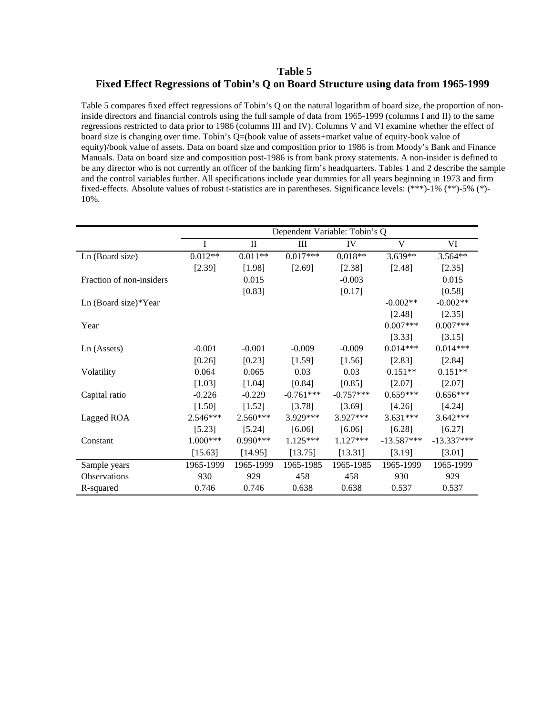## **Table 5 Fixed Effect Regressions of Tobin's Q on Board Structure using data from 1965-1999**

Table 5 compares fixed effect regressions of Tobin's Q on the natural logarithm of board size, the proportion of noninside directors and financial controls using the full sample of data from 1965-1999 (columns I and II) to the same regressions restricted to data prior to 1986 (columns III and IV). Columns V and VI examine whether the effect of board size is changing over time. Tobin's Q=(book value of assets+market value of equity-book value of equity)/book value of assets. Data on board size and composition prior to 1986 is from Moody's Bank and Finance Manuals. Data on board size and composition post-1986 is from bank proxy statements. A non-insider is defined to be any director who is not currently an officer of the banking firm's headquarters. Tables 1 and 2 describe the sample and the control variables further. All specifications include year dummies for all years beginning in 1973 and firm fixed-effects. Absolute values of robust t-statistics are in parentheses. Significance levels: (\*\*\*)-1% (\*\*)-5% (\*)- 10%.

|                          | Dependent Variable: Tobin's Q |              |             |             |              |              |  |  |
|--------------------------|-------------------------------|--------------|-------------|-------------|--------------|--------------|--|--|
|                          |                               | $\mathbf{I}$ | Ш           | IV          | V            | VI           |  |  |
| Ln (Board size)          | $0.012**$                     | $0.011**$    | $0.017***$  | $0.018**$   | $3.639**$    | $3.564**$    |  |  |
|                          | [2.39]                        | [1.98]       | [2.69]      | [2.38]      | [2.48]       | [2.35]       |  |  |
| Fraction of non-insiders |                               | 0.015        |             | $-0.003$    |              | 0.015        |  |  |
|                          |                               | [0.83]       |             | [0.17]      |              | [0.58]       |  |  |
| Ln (Board size)*Year     |                               |              |             |             | $-0.002**$   | $-0.002**$   |  |  |
|                          |                               |              |             |             | [2.48]       | [2.35]       |  |  |
| Year                     |                               |              |             |             | $0.007***$   | $0.007***$   |  |  |
|                          |                               |              |             |             | [3.33]       | [3.15]       |  |  |
| Ln (Assets)              | $-0.001$                      | $-0.001$     | $-0.009$    | $-0.009$    | $0.014***$   | $0.014***$   |  |  |
|                          | $[0.26]$                      | [0.23]       | [1.59]      | [1.56]      | $[2.83]$     | $[2.84]$     |  |  |
| Volatility               | 0.064                         | 0.065        | 0.03        | 0.03        | $0.151**$    | $0.151**$    |  |  |
|                          | [1.03]                        | [1.04]       | [0.84]      | [0.85]      | [2.07]       | $[2.07]$     |  |  |
| Capital ratio            | $-0.226$                      | $-0.229$     | $-0.761***$ | $-0.757***$ | $0.659***$   | $0.656***$   |  |  |
|                          | [1.50]                        | [1.52]       | [3.78]      | [3.69]      | [4.26]       | [4.24]       |  |  |
| Lagged ROA               | 2.546***                      | $2.560***$   | 3.929 ***   | 3.927***    | $3.631***$   | $3.642***$   |  |  |
|                          | [5.23]                        | [5.24]       | $[6.06]$    | [6.06]      | [6.28]       | [6.27]       |  |  |
| Constant                 | $1.000***$                    | $0.990***$   | $1.125***$  | $1.127***$  | $-13.587***$ | $-13.337***$ |  |  |
|                          | [15.63]                       | [14.95]      | [13.75]     | [13.31]     | [3.19]       | [3.01]       |  |  |
| Sample years             | 1965-1999                     | 1965-1999    | 1965-1985   | 1965-1985   | 1965-1999    | 1965-1999    |  |  |
| <b>Observations</b>      | 930                           | 929          | 458         | 458         | 930          | 929          |  |  |
| R-squared                | 0.746                         | 0.746        | 0.638       | 0.638       | 0.537        | 0.537        |  |  |